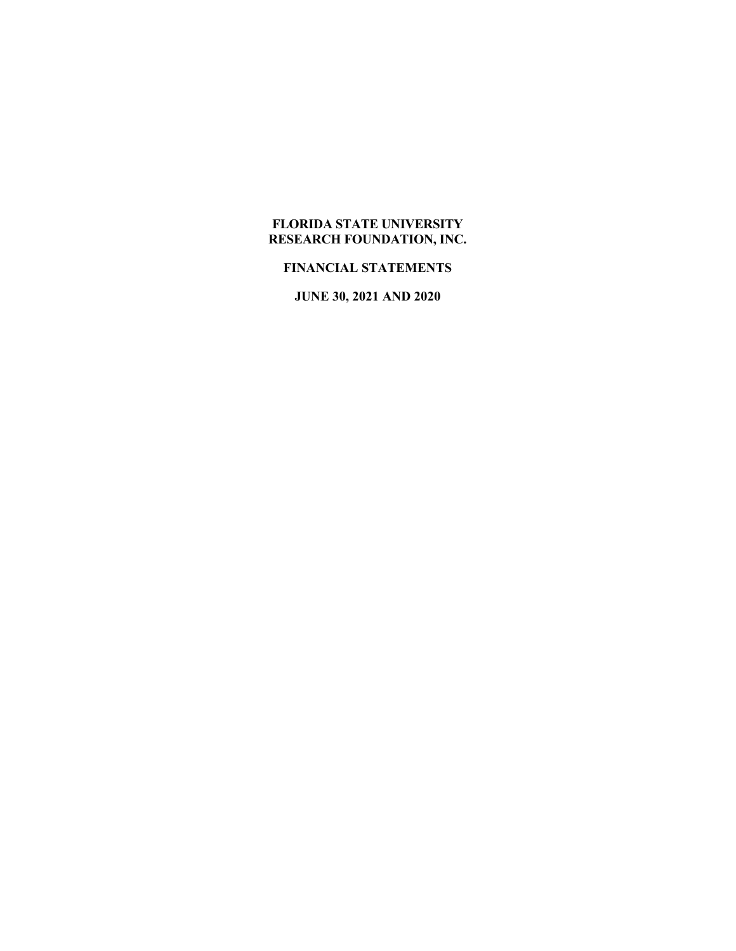## **FLORIDA STATE UNIVERSITY RESEARCH FOUNDATION, INC.**

## **FINANCIAL STATEMENTS**

**JUNE 30, 2021 AND 2020**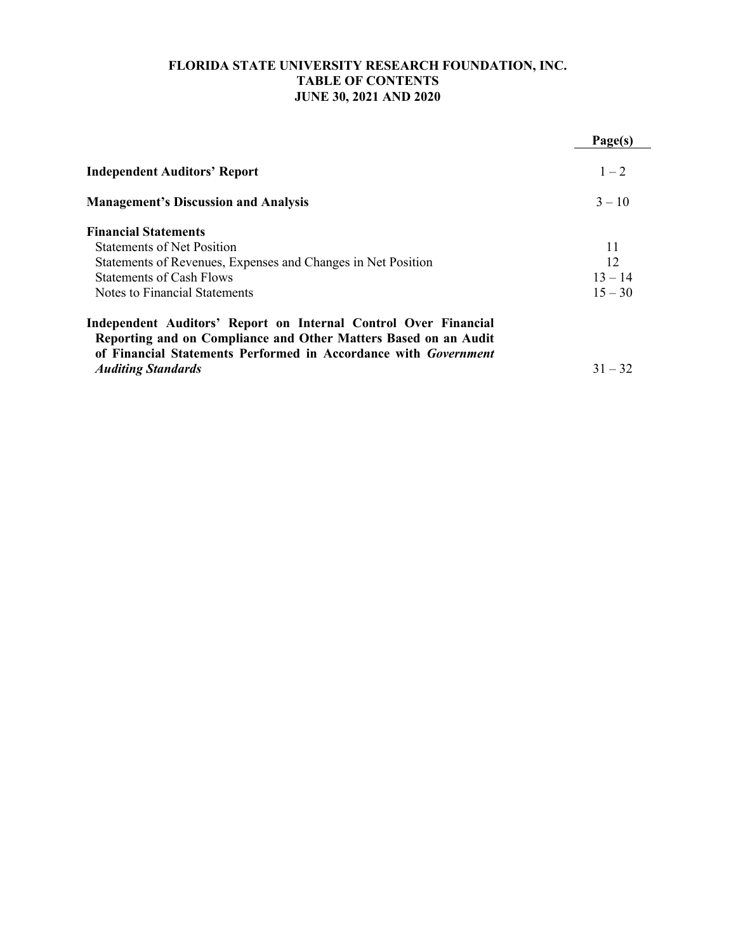## **FLORIDA STATE UNIVERSITY RESEARCH FOUNDATION, INC. TABLE OF CONTENTS JUNE 30, 2021 AND 2020**

|                                                                                                                                    | Page(s)   |
|------------------------------------------------------------------------------------------------------------------------------------|-----------|
| <b>Independent Auditors' Report</b>                                                                                                | $1 - 2$   |
| <b>Management's Discussion and Analysis</b>                                                                                        | $3 - 10$  |
| <b>Financial Statements</b>                                                                                                        |           |
| <b>Statements of Net Position</b>                                                                                                  | 11        |
| Statements of Revenues, Expenses and Changes in Net Position                                                                       | 12        |
| <b>Statements of Cash Flows</b>                                                                                                    | $13 - 14$ |
| Notes to Financial Statements                                                                                                      | $15 - 30$ |
| Independent Auditors' Report on Internal Control Over Financial<br>Reporting and on Compliance and Other Matters Based on an Audit |           |
| of Financial Statements Performed in Accordance with <i>Government</i><br><b>Auditing Standards</b>                                | $31 - 32$ |
|                                                                                                                                    |           |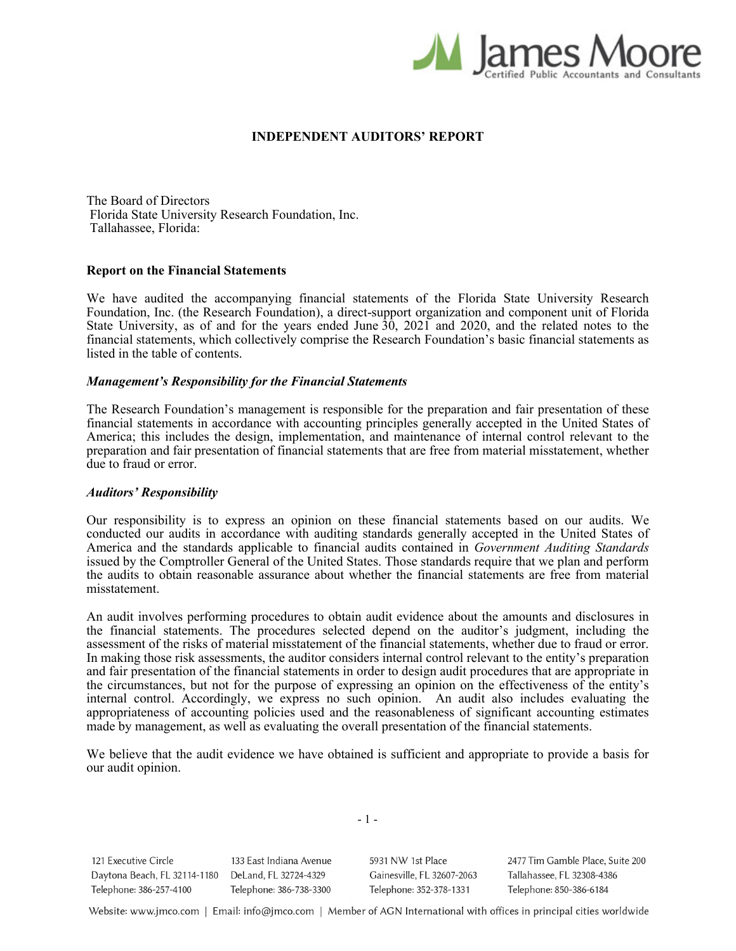

#### **INDEPENDENT AUDITORS' REPORT**

The Board of Directors Florida State University Research Foundation, Inc. Tallahassee, Florida:

#### **Report on the Financial Statements**

We have audited the accompanying financial statements of the Florida State University Research Foundation, Inc. (the Research Foundation), a direct-support organization and component unit of Florida State University, as of and for the years ended June  $30, 2021$  and  $2020$ , and the related notes to the financial statements, which collectively comprise the Research Foundation's basic financial statements as listed in the table of contents.

#### *Management's Responsibility for the Financial Statements*

The Research Foundation's management is responsible for the preparation and fair presentation of these financial statements in accordance with accounting principles generally accepted in the United States of America; this includes the design, implementation, and maintenance of internal control relevant to the preparation and fair presentation of financial statements that are free from material misstatement, whether due to fraud or error.

#### *Auditors' Responsibility*

Our responsibility is to express an opinion on these financial statements based on our audits. We conducted our audits in accordance with auditing standards generally accepted in the United States of America and the standards applicable to financial audits contained in *Government Auditing Standards* issued by the Comptroller General of the United States. Those standards require that we plan and perform the audits to obtain reasonable assurance about whether the financial statements are free from material misstatement.

An audit involves performing procedures to obtain audit evidence about the amounts and disclosures in the financial statements. The procedures selected depend on the auditor's judgment, including the assessment of the risks of material misstatement of the financial statements, whether due to fraud or error. In making those risk assessments, the auditor considers internal control relevant to the entity's preparation and fair presentation of the financial statements in order to design audit procedures that are appropriate in the circumstances, but not for the purpose of expressing an opinion on the effectiveness of the entity's internal control. Accordingly, we express no such opinion. An audit also includes evaluating the appropriateness of accounting policies used and the reasonableness of significant accounting estimates made by management, as well as evaluating the overall presentation of the financial statements.

We believe that the audit evidence we have obtained is sufficient and appropriate to provide a basis for our audit opinion.

- 1 -

121 Executive Circle 133 East Indiana Avenue Daytona Beach, FL 32114-1180 DeLand, FL 32724-4329 Telephone: 386-257-4100 Telephone: 386-738-3300

5931 NW 1st Place Gainesville, FL 32607-2063 Telephone: 352-378-1331

2477 Tim Gamble Place, Suite 200 Tallahassee, FL 32308-4386 Telephone: 850-386-6184

Website: www.jmco.com | Email: info@jmco.com | Member of AGN International with offices in principal cities worldwide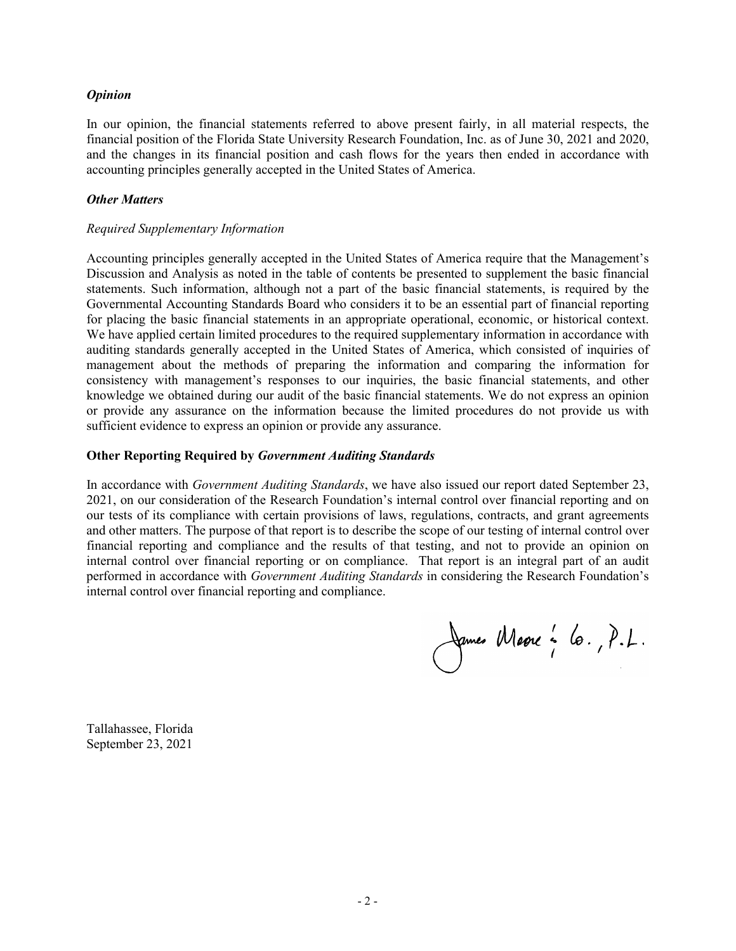#### *Opinion*

In our opinion, the financial statements referred to above present fairly, in all material respects, the financial position of the Florida State University Research Foundation, Inc. as of June 30, 2021 and 2020, and the changes in its financial position and cash flows for the years then ended in accordance with accounting principles generally accepted in the United States of America.

#### *Other Matters*

#### *Required Supplementary Information*

Accounting principles generally accepted in the United States of America require that the Management's Discussion and Analysis as noted in the table of contents be presented to supplement the basic financial statements. Such information, although not a part of the basic financial statements, is required by the Governmental Accounting Standards Board who considers it to be an essential part of financial reporting for placing the basic financial statements in an appropriate operational, economic, or historical context. We have applied certain limited procedures to the required supplementary information in accordance with auditing standards generally accepted in the United States of America, which consisted of inquiries of management about the methods of preparing the information and comparing the information for consistency with management's responses to our inquiries, the basic financial statements, and other knowledge we obtained during our audit of the basic financial statements. We do not express an opinion or provide any assurance on the information because the limited procedures do not provide us with sufficient evidence to express an opinion or provide any assurance.

### **Other Reporting Required by** *Government Auditing Standards*

In accordance with *Government Auditing Standards*, we have also issued our report dated September 23, 2021, on our consideration of the Research Foundation's internal control over financial reporting and on our tests of its compliance with certain provisions of laws, regulations, contracts, and grant agreements and other matters. The purpose of that report is to describe the scope of our testing of internal control over financial reporting and compliance and the results of that testing, and not to provide an opinion on internal control over financial reporting or on compliance. That report is an integral part of an audit performed in accordance with *Government Auditing Standards* in considering the Research Foundation's internal control over financial reporting and compliance.

James Marre : 6., P.L.

Tallahassee, Florida September 23, 2021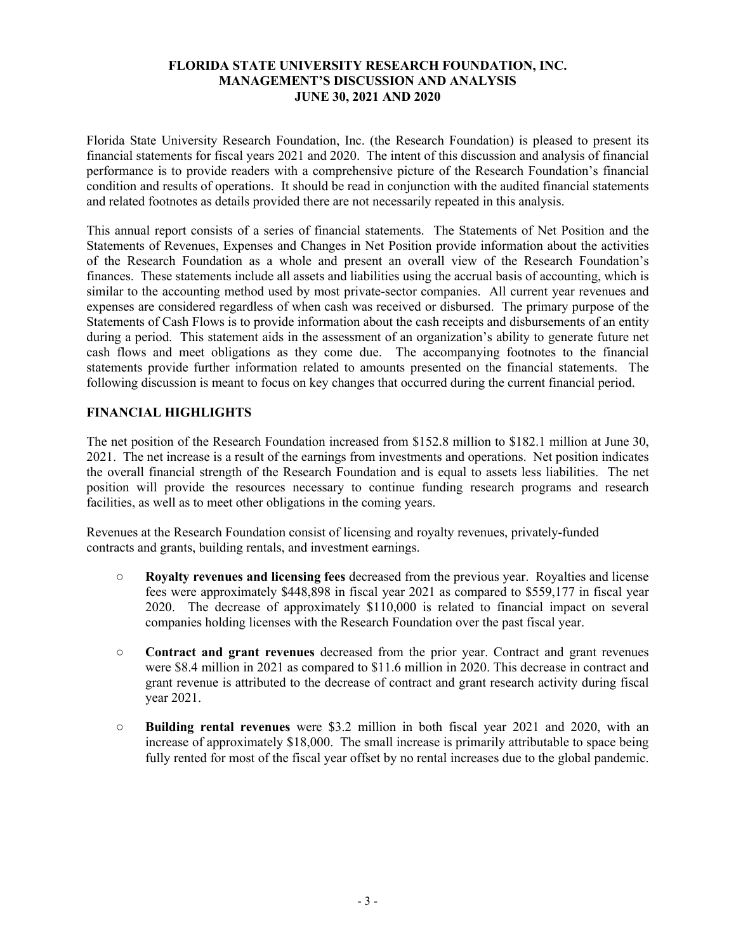## **FLORIDA STATE UNIVERSITY RESEARCH FOUNDATION, INC. MANAGEMENT'S DISCUSSION AND ANALYSIS JUNE 30, 2021 AND 2020**

Florida State University Research Foundation, Inc. (the Research Foundation) is pleased to present its financial statements for fiscal years 2021 and 2020. The intent of this discussion and analysis of financial performance is to provide readers with a comprehensive picture of the Research Foundation's financial condition and results of operations. It should be read in conjunction with the audited financial statements and related footnotes as details provided there are not necessarily repeated in this analysis.

This annual report consists of a series of financial statements. The Statements of Net Position and the Statements of Revenues, Expenses and Changes in Net Position provide information about the activities of the Research Foundation as a whole and present an overall view of the Research Foundation's finances. These statements include all assets and liabilities using the accrual basis of accounting, which is similar to the accounting method used by most private-sector companies. All current year revenues and expenses are considered regardless of when cash was received or disbursed. The primary purpose of the Statements of Cash Flows is to provide information about the cash receipts and disbursements of an entity during a period. This statement aids in the assessment of an organization's ability to generate future net cash flows and meet obligations as they come due. The accompanying footnotes to the financial statements provide further information related to amounts presented on the financial statements. The following discussion is meant to focus on key changes that occurred during the current financial period.

## **FINANCIAL HIGHLIGHTS**

The net position of the Research Foundation increased from \$152.8 million to \$182.1 million at June 30, 2021. The net increase is a result of the earnings from investments and operations. Net position indicates the overall financial strength of the Research Foundation and is equal to assets less liabilities. The net position will provide the resources necessary to continue funding research programs and research facilities, as well as to meet other obligations in the coming years.

Revenues at the Research Foundation consist of licensing and royalty revenues, privately-funded contracts and grants, building rentals, and investment earnings.

- **○ Royalty revenues and licensing fees** decreased from the previous year. Royalties and license fees were approximately \$448,898 in fiscal year 2021 as compared to \$559,177 in fiscal year 2020. The decrease of approximately \$110,000 is related to financial impact on several companies holding licenses with the Research Foundation over the past fiscal year.
- **○ Contract and grant revenues** decreased from the prior year. Contract and grant revenues were \$8.4 million in 2021 as compared to \$11.6 million in 2020. This decrease in contract and grant revenue is attributed to the decrease of contract and grant research activity during fiscal year 2021.
- **○ Building rental revenues** were \$3.2 million in both fiscal year 2021 and 2020, with an increase of approximately \$18,000. The small increase is primarily attributable to space being fully rented for most of the fiscal year offset by no rental increases due to the global pandemic.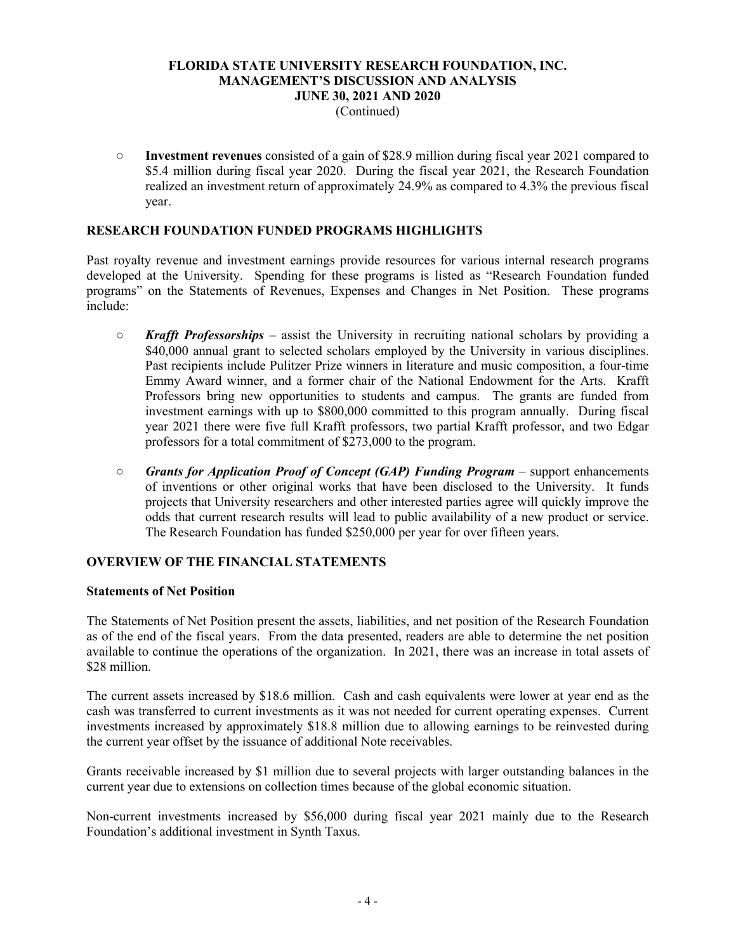# **FLORIDA STATE UNIVERSITY RESEARCH FOUNDATION, INC. MANAGEMENT'S DISCUSSION AND ANALYSIS JUNE 30, 2021 AND 2020**

(Continued)

**○ Investment revenues** consisted of a gain of \$28.9 million during fiscal year 2021 compared to \$5.4 million during fiscal year 2020. During the fiscal year 2021, the Research Foundation realized an investment return of approximately 24.9% as compared to 4.3% the previous fiscal year.

## **RESEARCH FOUNDATION FUNDED PROGRAMS HIGHLIGHTS**

Past royalty revenue and investment earnings provide resources for various internal research programs developed at the University. Spending for these programs is listed as "Research Foundation funded programs" on the Statements of Revenues, Expenses and Changes in Net Position. These programs include:

- **○** *Krafft Professorships* assist the University in recruiting national scholars by providing a \$40,000 annual grant to selected scholars employed by the University in various disciplines. Past recipients include Pulitzer Prize winners in literature and music composition, a four-time Emmy Award winner, and a former chair of the National Endowment for the Arts. Krafft Professors bring new opportunities to students and campus. The grants are funded from investment earnings with up to \$800,000 committed to this program annually. During fiscal year 2021 there were five full Krafft professors, two partial Krafft professor, and two Edgar professors for a total commitment of \$273,000 to the program.
- **○** *Grants for Application Proof of Concept (GAP) Funding Program*  support enhancements of inventions or other original works that have been disclosed to the University. It funds projects that University researchers and other interested parties agree will quickly improve the odds that current research results will lead to public availability of a new product or service. The Research Foundation has funded \$250,000 per year for over fifteen years.

### **OVERVIEW OF THE FINANCIAL STATEMENTS**

### **Statements of Net Position**

The Statements of Net Position present the assets, liabilities, and net position of the Research Foundation as of the end of the fiscal years. From the data presented, readers are able to determine the net position available to continue the operations of the organization. In 2021, there was an increase in total assets of \$28 million.

The current assets increased by \$18.6 million. Cash and cash equivalents were lower at year end as the cash was transferred to current investments as it was not needed for current operating expenses. Current investments increased by approximately \$18.8 million due to allowing earnings to be reinvested during the current year offset by the issuance of additional Note receivables.

Grants receivable increased by \$1 million due to several projects with larger outstanding balances in the current year due to extensions on collection times because of the global economic situation.

Non-current investments increased by \$56,000 during fiscal year 2021 mainly due to the Research Foundation's additional investment in Synth Taxus.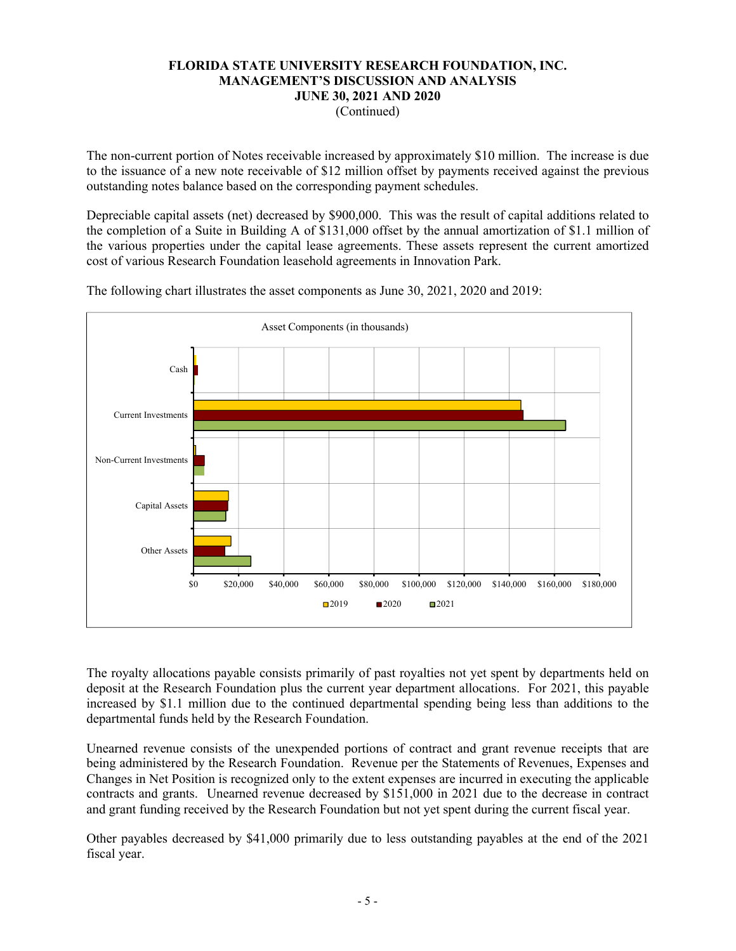#### **FLORIDA STATE UNIVERSITY RESEARCH FOUNDATION, INC. MANAGEMENT'S DISCUSSION AND ANALYSIS JUNE 30, 2021 AND 2020** (Continued)

The non-current portion of Notes receivable increased by approximately \$10 million. The increase is due to the issuance of a new note receivable of \$12 million offset by payments received against the previous outstanding notes balance based on the corresponding payment schedules.

Depreciable capital assets (net) decreased by \$900,000. This was the result of capital additions related to the completion of a Suite in Building A of \$131,000 offset by the annual amortization of \$1.1 million of the various properties under the capital lease agreements. These assets represent the current amortized cost of various Research Foundation leasehold agreements in Innovation Park.

\$0 \$20,000 \$40,000 \$60,000 \$80,000 \$100,000 \$120,000 \$140,000 \$160,000 \$180,000 Other Assets Capital Assets Non-Current Investments Current Investments Cash Asset Components (in thousands)  $\Box 2019$   $\Box 2020$   $\Box 2021$ 

The following chart illustrates the asset components as June 30, 2021, 2020 and 2019:

The royalty allocations payable consists primarily of past royalties not yet spent by departments held on deposit at the Research Foundation plus the current year department allocations. For 2021, this payable increased by \$1.1 million due to the continued departmental spending being less than additions to the departmental funds held by the Research Foundation.

Unearned revenue consists of the unexpended portions of contract and grant revenue receipts that are being administered by the Research Foundation. Revenue per the Statements of Revenues, Expenses and Changes in Net Position is recognized only to the extent expenses are incurred in executing the applicable contracts and grants. Unearned revenue decreased by \$151,000 in 2021 due to the decrease in contract and grant funding received by the Research Foundation but not yet spent during the current fiscal year.

Other payables decreased by \$41,000 primarily due to less outstanding payables at the end of the 2021 fiscal year.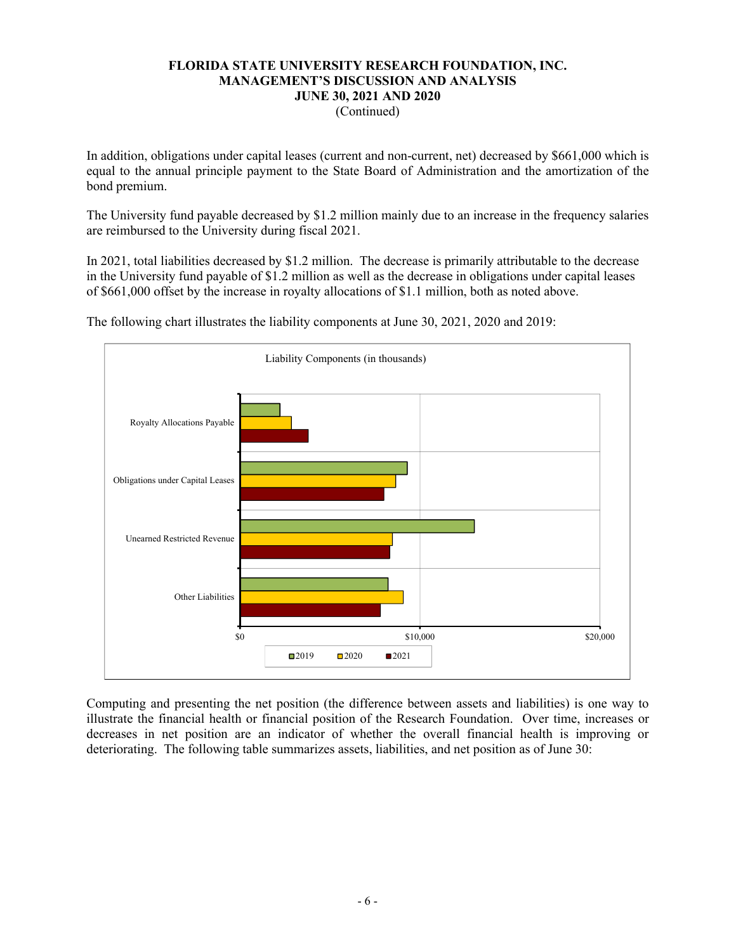### **FLORIDA STATE UNIVERSITY RESEARCH FOUNDATION, INC. MANAGEMENT'S DISCUSSION AND ANALYSIS JUNE 30, 2021 AND 2020** (Continued)

In addition, obligations under capital leases (current and non-current, net) decreased by \$661,000 which is equal to the annual principle payment to the State Board of Administration and the amortization of the bond premium.

The University fund payable decreased by \$1.2 million mainly due to an increase in the frequency salaries are reimbursed to the University during fiscal 2021.

In 2021, total liabilities decreased by \$1.2 million. The decrease is primarily attributable to the decrease in the University fund payable of \$1.2 million as well as the decrease in obligations under capital leases of \$661,000 offset by the increase in royalty allocations of \$1.1 million, both as noted above.



The following chart illustrates the liability components at June 30, 2021, 2020 and 2019:

Computing and presenting the net position (the difference between assets and liabilities) is one way to illustrate the financial health or financial position of the Research Foundation. Over time, increases or decreases in net position are an indicator of whether the overall financial health is improving or deteriorating. The following table summarizes assets, liabilities, and net position as of June 30: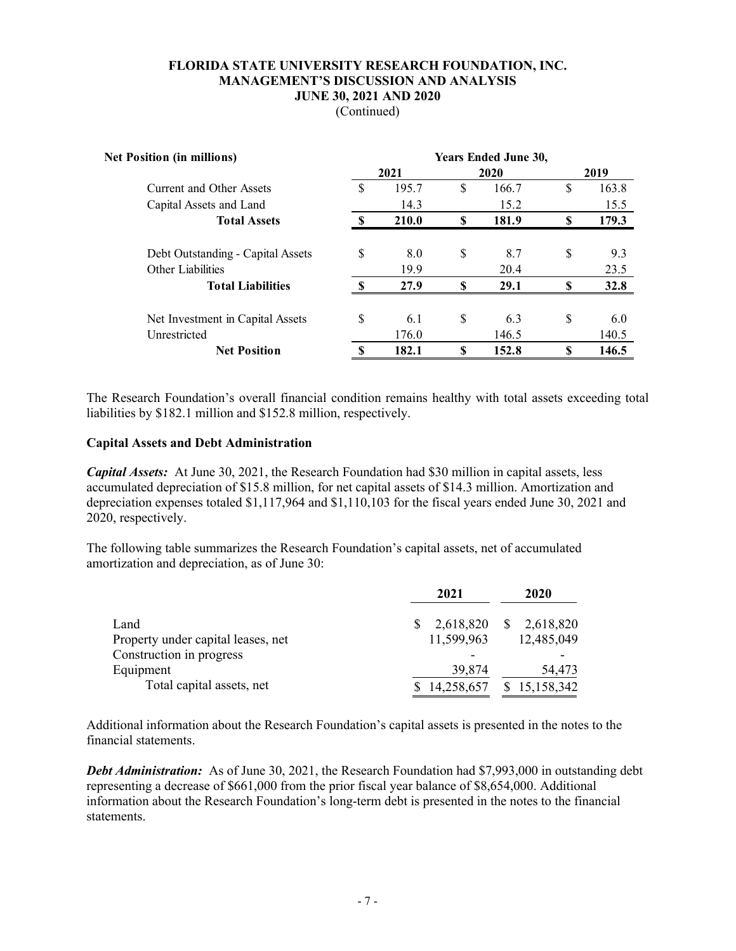## **FLORIDA STATE UNIVERSITY RESEARCH FOUNDATION, INC. MANAGEMENT'S DISCUSSION AND ANALYSIS JUNE 30, 2021 AND 2020**

(Continued)

| <b>Net Position (in millions)</b> |                        | <b>Years Ended June 30,</b> |    |       |    |       |  |
|-----------------------------------|------------------------|-----------------------------|----|-------|----|-------|--|
|                                   | 2020<br>2021           |                             |    |       |    | 2019  |  |
| Current and Other Assets          | S                      | 195.7                       | S  | 166.7 | S  | 163.8 |  |
| Capital Assets and Land           |                        | 14.3                        |    | 15.2  |    | 15.5  |  |
| <b>Total Assets</b>               | <b>S</b>               | 210.0                       | S  | 181.9 | S  | 179.3 |  |
| Debt Outstanding - Capital Assets | \$                     | 8.0                         | \$ | 8.7   | \$ | 9.3   |  |
| Other Liabilities                 |                        | 19.9                        |    | 20.4  |    | 23.5  |  |
| <b>Total Liabilities</b>          | $\mathbf{\mathcal{S}}$ | 27.9                        | \$ | 29.1  |    | 32.8  |  |
| Net Investment in Capital Assets  | \$                     | 6.1                         | \$ | 6.3   | \$ | 6.0   |  |
| Unrestricted                      |                        | 176.0                       |    | 146.5 |    | 140.5 |  |
| <b>Net Position</b>               | \$                     | 182.1                       | S  | 152.8 |    | 146.5 |  |

The Research Foundation's overall financial condition remains healthy with total assets exceeding total liabilities by \$182.1 million and \$152.8 million, respectively.

#### **Capital Assets and Debt Administration**

*Capital Assets:* At June 30, 2021, the Research Foundation had \$30 million in capital assets, less accumulated depreciation of \$15.8 million, for net capital assets of \$14.3 million. Amortization and depreciation expenses totaled \$1,117,964 and \$1,110,103 for the fiscal years ended June 30, 2021 and 2020, respectively.

The following table summarizes the Research Foundation's capital assets, net of accumulated amortization and depreciation, as of June 30:

|                                    | 2021       | 2020         |
|------------------------------------|------------|--------------|
| Land                               | 2,618,820  | 2,618,820    |
| Property under capital leases, net | 11,599,963 | 12,485,049   |
| Construction in progress           |            |              |
| Equipment                          | 39,874     | 54,473       |
| Total capital assets, net          | 14,258,657 | \$15,158,342 |

Additional information about the Research Foundation's capital assets is presented in the notes to the financial statements.

*Debt Administration:* As of June 30, 2021, the Research Foundation had \$7,993,000 in outstanding debt representing a decrease of \$661,000 from the prior fiscal year balance of \$8,654,000. Additional information about the Research Foundation's long-term debt is presented in the notes to the financial statements.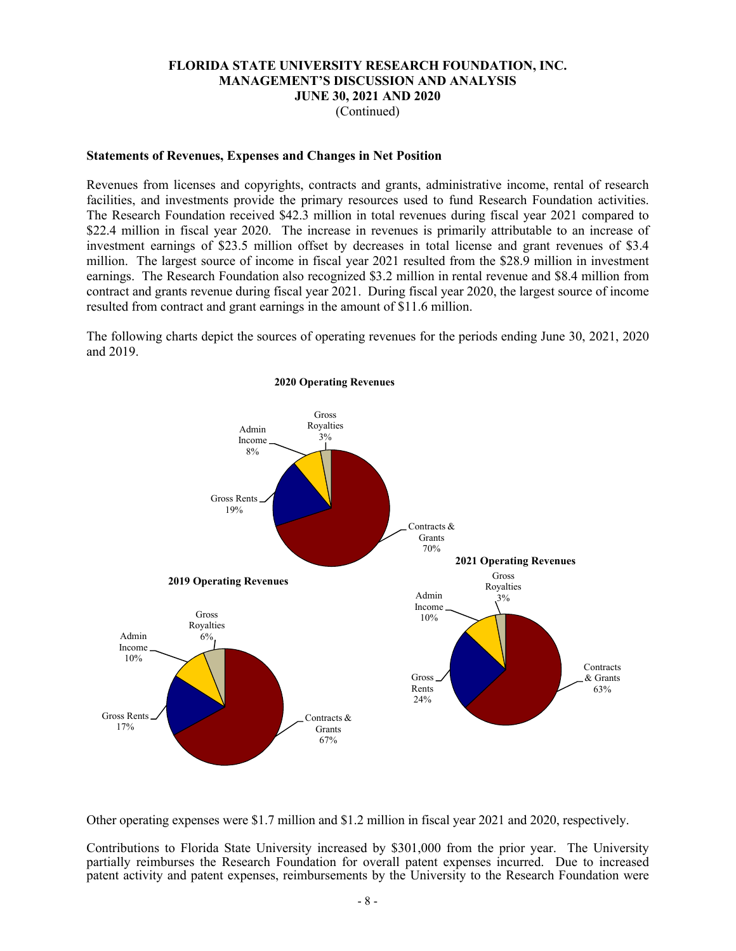### **FLORIDA STATE UNIVERSITY RESEARCH FOUNDATION, INC. MANAGEMENT'S DISCUSSION AND ANALYSIS JUNE 30, 2021 AND 2020** (Continued)

#### **Statements of Revenues, Expenses and Changes in Net Position**

Revenues from licenses and copyrights, contracts and grants, administrative income, rental of research facilities, and investments provide the primary resources used to fund Research Foundation activities. The Research Foundation received \$42.3 million in total revenues during fiscal year 2021 compared to \$22.4 million in fiscal year 2020. The increase in revenues is primarily attributable to an increase of investment earnings of \$23.5 million offset by decreases in total license and grant revenues of \$3.4 million. The largest source of income in fiscal year 2021 resulted from the \$28.9 million in investment earnings. The Research Foundation also recognized \$3.2 million in rental revenue and \$8.4 million from contract and grants revenue during fiscal year 2021. During fiscal year 2020, the largest source of income resulted from contract and grant earnings in the amount of \$11.6 million.

The following charts depict the sources of operating revenues for the periods ending June 30, 2021, 2020 and 2019.



#### **2020 Operating Revenues**

Other operating expenses were \$1.7 million and \$1.2 million in fiscal year 2021 and 2020, respectively.

Contributions to Florida State University increased by \$301,000 from the prior year. The University partially reimburses the Research Foundation for overall patent expenses incurred. Due to increased patent activity and patent expenses, reimbursements by the University to the Research Foundation were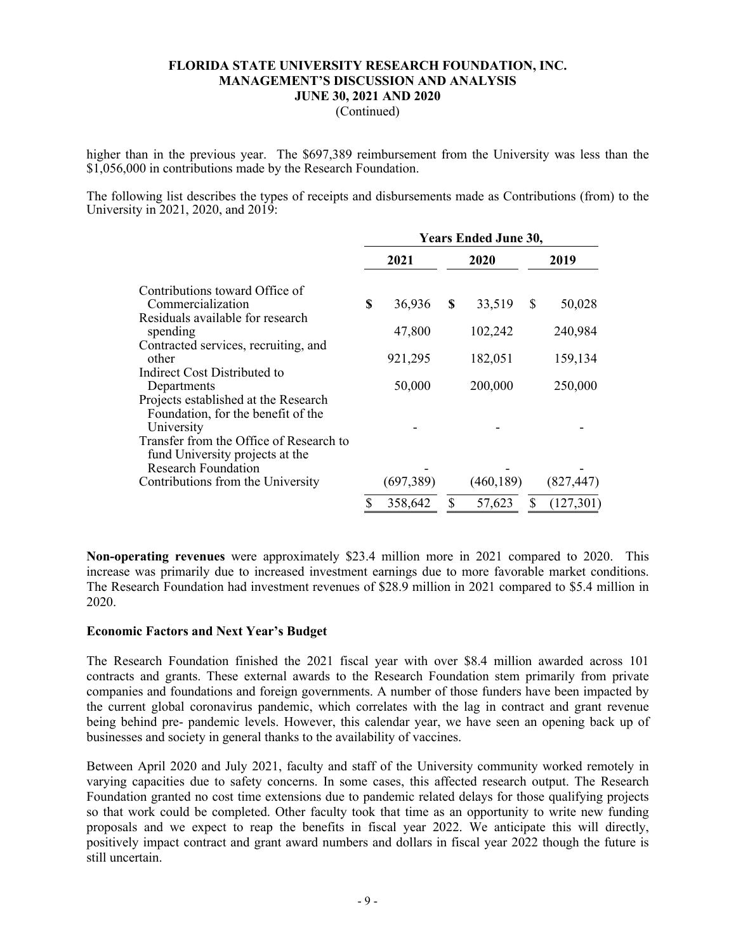## **FLORIDA STATE UNIVERSITY RESEARCH FOUNDATION, INC. MANAGEMENT'S DISCUSSION AND ANALYSIS JUNE 30, 2021 AND 2020**

(Continued)

higher than in the previous year. The \$697,389 reimbursement from the University was less than the \$1,056,000 in contributions made by the Research Foundation.

The following list describes the types of receipts and disbursements made as Contributions (from) to the University in 2021, 2020, and 2019:

|                                                                            | <b>Years Ended June 30,</b> |    |            |      |            |  |
|----------------------------------------------------------------------------|-----------------------------|----|------------|------|------------|--|
|                                                                            | 2021<br>2020                |    |            | 2019 |            |  |
| Contributions toward Office of                                             |                             |    |            |      |            |  |
| Commercialization                                                          | \$<br>36,936                | \$ | 33,519     | \$   | 50,028     |  |
| Residuals available for research<br>spending                               | 47,800                      |    | 102,242    |      | 240,984    |  |
| Contracted services, recruiting, and<br>other                              | 921,295                     |    | 182,051    |      | 159,134    |  |
| Indirect Cost Distributed to<br>Departments                                | 50,000                      |    | 200,000    |      | 250,000    |  |
| Projects established at the Research<br>Foundation, for the benefit of the |                             |    |            |      |            |  |
| University                                                                 |                             |    |            |      |            |  |
| Transfer from the Office of Research to<br>fund University projects at the |                             |    |            |      |            |  |
| <b>Research Foundation</b>                                                 |                             |    |            |      |            |  |
| Contributions from the University                                          | (697,389)                   |    | (460, 189) |      | (827, 447) |  |
|                                                                            | \$<br>358,642               | \$ | 57,623     | \$   | (127, 301) |  |

**Non-operating revenues** were approximately \$23.4 million more in 2021 compared to 2020. This increase was primarily due to increased investment earnings due to more favorable market conditions. The Research Foundation had investment revenues of \$28.9 million in 2021 compared to \$5.4 million in 2020.

#### **Economic Factors and Next Year's Budget**

The Research Foundation finished the 2021 fiscal year with over \$8.4 million awarded across 101 contracts and grants. These external awards to the Research Foundation stem primarily from private companies and foundations and foreign governments. A number of those funders have been impacted by the current global coronavirus pandemic, which correlates with the lag in contract and grant revenue being behind pre- pandemic levels. However, this calendar year, we have seen an opening back up of businesses and society in general thanks to the availability of vaccines.

Between April 2020 and July 2021, faculty and staff of the University community worked remotely in varying capacities due to safety concerns. In some cases, this affected research output. The Research Foundation granted no cost time extensions due to pandemic related delays for those qualifying projects so that work could be completed. Other faculty took that time as an opportunity to write new funding proposals and we expect to reap the benefits in fiscal year 2022. We anticipate this will directly, positively impact contract and grant award numbers and dollars in fiscal year 2022 though the future is still uncertain.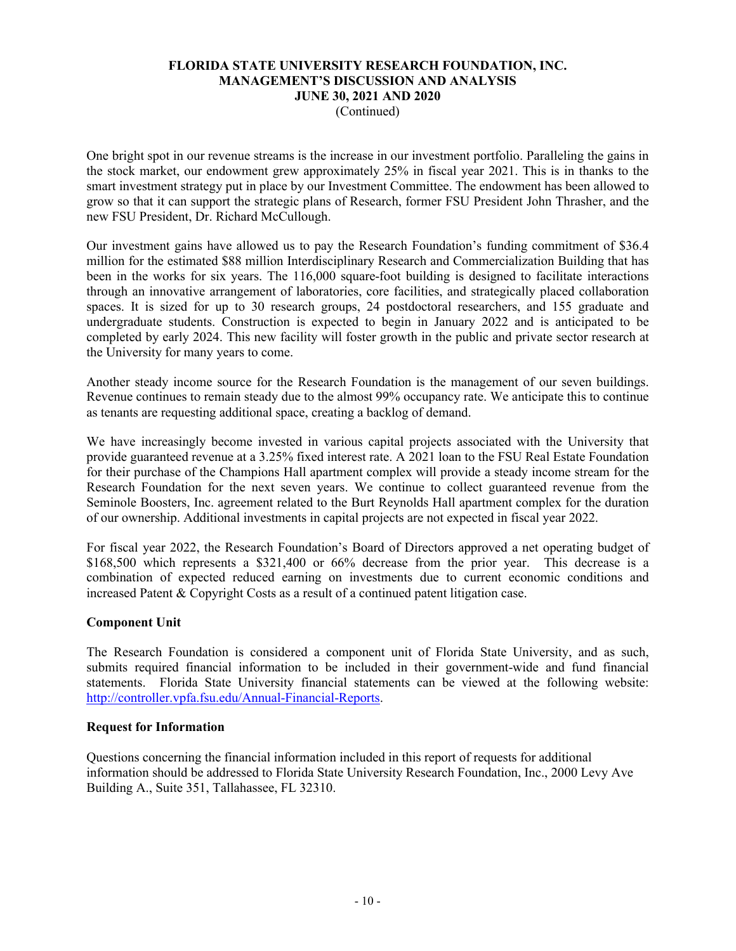# **FLORIDA STATE UNIVERSITY RESEARCH FOUNDATION, INC. MANAGEMENT'S DISCUSSION AND ANALYSIS JUNE 30, 2021 AND 2020**

(Continued)

One bright spot in our revenue streams is the increase in our investment portfolio. Paralleling the gains in the stock market, our endowment grew approximately 25% in fiscal year 2021. This is in thanks to the smart investment strategy put in place by our Investment Committee. The endowment has been allowed to grow so that it can support the strategic plans of Research, former FSU President John Thrasher, and the new FSU President, Dr. Richard McCullough.

Our investment gains have allowed us to pay the Research Foundation's funding commitment of \$36.4 million for the estimated \$88 million Interdisciplinary Research and Commercialization Building that has been in the works for six years. The 116,000 square-foot building is designed to facilitate interactions through an innovative arrangement of laboratories, core facilities, and strategically placed collaboration spaces. It is sized for up to 30 research groups, 24 postdoctoral researchers, and 155 graduate and undergraduate students. Construction is expected to begin in January 2022 and is anticipated to be completed by early 2024. This new facility will foster growth in the public and private sector research at the University for many years to come.

Another steady income source for the Research Foundation is the management of our seven buildings. Revenue continues to remain steady due to the almost 99% occupancy rate. We anticipate this to continue as tenants are requesting additional space, creating a backlog of demand.

We have increasingly become invested in various capital projects associated with the University that provide guaranteed revenue at a 3.25% fixed interest rate. A 2021 loan to the FSU Real Estate Foundation for their purchase of the Champions Hall apartment complex will provide a steady income stream for the Research Foundation for the next seven years. We continue to collect guaranteed revenue from the Seminole Boosters, Inc. agreement related to the Burt Reynolds Hall apartment complex for the duration of our ownership. Additional investments in capital projects are not expected in fiscal year 2022.

For fiscal year 2022, the Research Foundation's Board of Directors approved a net operating budget of \$168,500 which represents a \$321,400 or 66% decrease from the prior year. This decrease is a combination of expected reduced earning on investments due to current economic conditions and increased Patent & Copyright Costs as a result of a continued patent litigation case.

### **Component Unit**

The Research Foundation is considered a component unit of Florida State University, and as such, submits required financial information to be included in their government-wide and fund financial statements. Florida State University financial statements can be viewed at the following website: http://controller.vpfa.fsu.edu/Annual-Financial-Reports.

### **Request for Information**

Questions concerning the financial information included in this report of requests for additional information should be addressed to Florida State University Research Foundation, Inc., 2000 Levy Ave Building A., Suite 351, Tallahassee, FL 32310.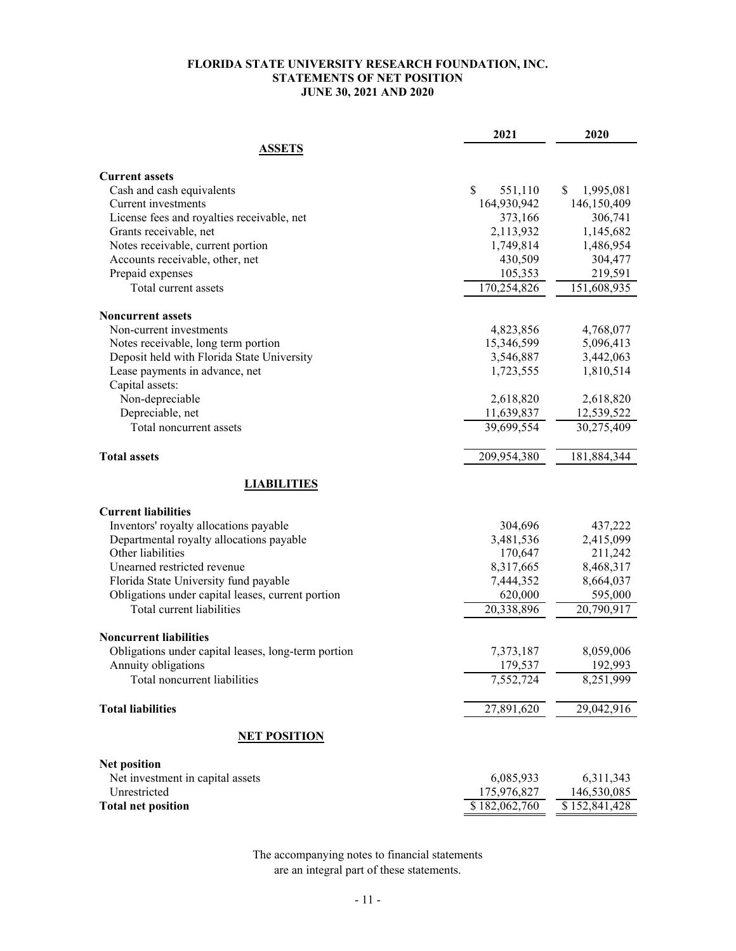#### **FLORIDA STATE UNIVERSITY RESEARCH FOUNDATION, INC. STATEMENTS OF NET POSITION JUNE 30, 2021 AND 2020**

|                                                     | 2021          | 2020            |
|-----------------------------------------------------|---------------|-----------------|
| <b>ASSETS</b>                                       |               |                 |
| <b>Current assets</b>                               |               |                 |
| Cash and cash equivalents                           | \$<br>551,110 | 1,995,081<br>\$ |
| Current investments                                 | 164,930,942   | 146,150,409     |
| License fees and royalties receivable, net          | 373,166       | 306,741         |
| Grants receivable, net                              | 2,113,932     | 1,145,682       |
| Notes receivable, current portion                   | 1,749,814     | 1,486,954       |
| Accounts receivable, other, net                     | 430,509       | 304,477         |
| Prepaid expenses                                    | 105,353       | 219,591         |
| Total current assets                                | 170,254,826   | 151,608,935     |
| <b>Noncurrent assets</b>                            |               |                 |
| Non-current investments                             | 4,823,856     | 4,768,077       |
| Notes receivable, long term portion                 | 15,346,599    | 5,096,413       |
| Deposit held with Florida State University          | 3,546,887     | 3,442,063       |
| Lease payments in advance, net                      | 1,723,555     | 1,810,514       |
| Capital assets:                                     |               |                 |
| Non-depreciable                                     | 2,618,820     | 2,618,820       |
| Depreciable, net                                    | 11,639,837    | 12,539,522      |
| Total noncurrent assets                             | 39,699,554    | 30,275,409      |
| <b>Total assets</b>                                 | 209,954,380   | 181,884,344     |
| <b>LIABILITIES</b>                                  |               |                 |
| <b>Current liabilities</b>                          |               |                 |
| Inventors' royalty allocations payable              | 304,696       | 437,222         |
| Departmental royalty allocations payable            | 3,481,536     | 2,415,099       |
| Other liabilities                                   | 170,647       | 211,242         |
| Unearned restricted revenue                         | 8,317,665     | 8,468,317       |
| Florida State University fund payable               | 7,444,352     | 8,664,037       |
| Obligations under capital leases, current portion   | 620,000       | 595,000         |
| Total current liabilities                           | 20,338,896    | 20,790,917      |
| <b>Noncurrent liabilities</b>                       |               |                 |
| Obligations under capital leases, long-term portion | 7,373,187     | 8,059,006       |
| Annuity obligations                                 | 179,537       | 192,993         |
| Total noncurrent liabilities                        | 7,552,724     | 8,251,999       |
| <b>Total liabilities</b>                            | 27,891,620    | 29,042,916      |
| <b>NET POSITION</b>                                 |               |                 |
| Net position                                        |               |                 |
| Net investment in capital assets                    | 6,085,933     | 6,311,343       |
| Unrestricted                                        | 175,976,827   | 146,530,085     |
| <b>Total net position</b>                           | \$182,062,760 | \$152,841,428   |

The accompanying notes to financial statements are an integral part of these statements.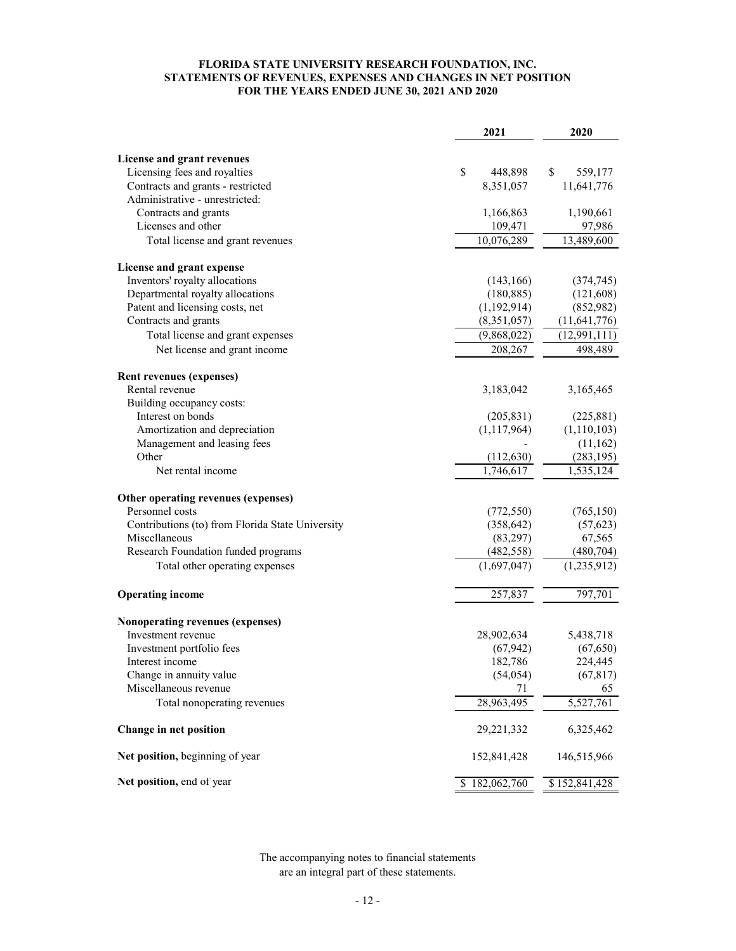#### **FLORIDA STATE UNIVERSITY RESEARCH FOUNDATION, INC. STATEMENTS OF REVENUES, EXPENSES AND CHANGES IN NET POSITION FOR THE YEARS ENDED JUNE 30, 2021 AND 2020**

|                                                  | 2021          | 2020           |
|--------------------------------------------------|---------------|----------------|
|                                                  |               |                |
| License and grant revenues                       |               |                |
| Licensing fees and royalties                     | \$<br>448,898 | \$<br>559,177  |
| Contracts and grants - restricted                | 8,351,057     | 11,641,776     |
| Administrative - unrestricted:                   |               |                |
| Contracts and grants                             | 1,166,863     | 1,190,661      |
| Licenses and other                               | 109,471       | 97,986         |
| Total license and grant revenues                 | 10,076,289    | 13,489,600     |
| License and grant expense                        |               |                |
| Inventors' royalty allocations                   | (143, 166)    | (374, 745)     |
| Departmental royalty allocations                 | (180, 885)    | (121, 608)     |
| Patent and licensing costs, net                  | (1,192,914)   | (852,982)      |
| Contracts and grants                             | (8,351,057)   | (11, 641, 776) |
| Total license and grant expenses                 | (9,868,022)   | (12, 991, 111) |
| Net license and grant income                     | 208,267       | 498,489        |
|                                                  |               |                |
| Rent revenues (expenses)                         |               |                |
| Rental revenue                                   | 3,183,042     | 3,165,465      |
| Building occupancy costs:                        |               |                |
| Interest on bonds                                | (205, 831)    | (225, 881)     |
| Amortization and depreciation                    | (1, 117, 964) | (1,110,103)    |
| Management and leasing fees                      |               | (11, 162)      |
| Other                                            | (112, 630)    | (283, 195)     |
| Net rental income                                | 1,746,617     | 1,535,124      |
| Other operating revenues (expenses)              |               |                |
| Personnel costs                                  | (772, 550)    | (765, 150)     |
| Contributions (to) from Florida State University | (358, 642)    | (57, 623)      |
| Miscellaneous                                    | (83,297)      | 67,565         |
| Research Foundation funded programs              | (482, 558)    | (480, 704)     |
| Total other operating expenses                   | (1,697,047)   | (1,235,912)    |
|                                                  |               |                |
| <b>Operating income</b>                          | 257,837       | 797,701        |
| Nonoperating revenues (expenses)                 |               |                |
| Investment revenue                               | 28,902,634    | 5,438,718      |
| Investment portfolio fees                        | (67, 942)     | (67, 650)      |
| Interest income                                  | 182,786       | 224,445        |
| Change in annuity value                          | (54, 054)     | (67, 817)      |
| Miscellaneous revenue                            | 71            | 65             |
| Total nonoperating revenues                      | 28,963,495    | 5,527,761      |
| Change in net position                           | 29,221,332    | 6,325,462      |
| Net position, beginning of year                  | 152,841,428   | 146,515,966    |
| Net position, end of year                        | \$182,062,760 | \$152,841,428  |

The accompanying notes to financial statements are an integral part of these statements.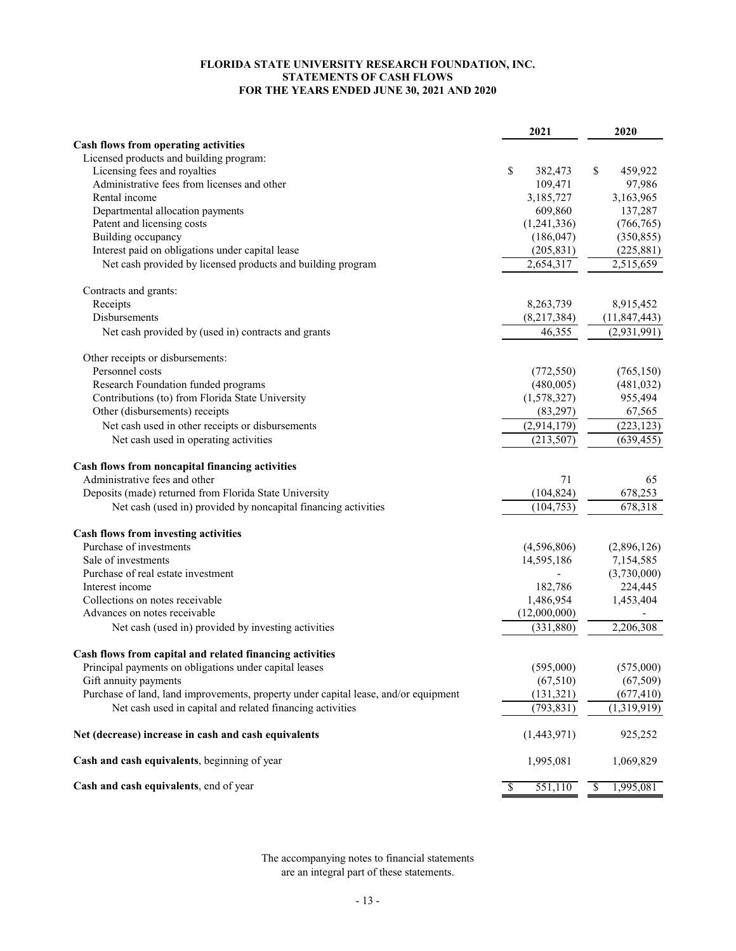#### **FLORIDA STATE UNIVERSITY RESEARCH FOUNDATION, INC. STATEMENTS OF CASH FLOWS FOR THE YEARS ENDED JUNE 30, 2021 AND 2020**

|                                                                                     | 2021                            | 2020                     |
|-------------------------------------------------------------------------------------|---------------------------------|--------------------------|
| Cash flows from operating activities                                                |                                 |                          |
| Licensed products and building program:                                             |                                 |                          |
| Licensing fees and royalties                                                        | \$<br>382,473                   | \$<br>459,922            |
| Administrative fees from licenses and other                                         | 109,471                         | 97,986                   |
| Rental income                                                                       | 3,185,727                       | 3,163,965                |
| Departmental allocation payments                                                    | 609,860                         | 137,287                  |
| Patent and licensing costs                                                          | (1,241,336)                     | (766, 765)               |
| Building occupancy                                                                  | (186, 047)                      | (350, 855)               |
| Interest paid on obligations under capital lease                                    | (205, 831)                      | (225, 881)               |
| Net cash provided by licensed products and building program                         | 2,654,317                       | 2,515,659                |
| Contracts and grants:                                                               |                                 |                          |
| Receipts                                                                            | 8,263,739                       | 8,915,452                |
| Disbursements                                                                       | (8,217,384)                     | (11, 847, 443)           |
| Net cash provided by (used in) contracts and grants                                 | 46,355                          | (2,931,991)              |
| Other receipts or disbursements:                                                    |                                 |                          |
| Personnel costs                                                                     | (772, 550)                      | (765, 150)               |
| Research Foundation funded programs                                                 | (480,005)                       | (481, 032)               |
| Contributions (to) from Florida State University                                    | (1,578,327)                     | 955,494                  |
| Other (disbursements) receipts                                                      | (83, 297)                       | 67,565                   |
| Net cash used in other receipts or disbursements                                    | (2,914,179)                     | (223, 123)               |
| Net cash used in operating activities                                               | (213, 507)                      | (639, 455)               |
| Cash flows from noncapital financing activities                                     |                                 |                          |
| Administrative fees and other                                                       | 71                              | 65                       |
| Deposits (made) returned from Florida State University                              | (104, 824)                      | 678,253                  |
| Net cash (used in) provided by noncapital financing activities                      | (104, 753)                      | 678,318                  |
| Cash flows from investing activities                                                |                                 |                          |
| Purchase of investments                                                             | (4,596,806)                     | (2,896,126)              |
| Sale of investments                                                                 | 14,595,186                      | 7,154,585                |
| Purchase of real estate investment                                                  |                                 | (3,730,000)              |
| Interest income                                                                     | 182,786                         | 224,445                  |
| Collections on notes receivable                                                     | 1,486,954                       | 1,453,404                |
| Advances on notes receivable                                                        | (12,000,000)                    |                          |
| Net cash (used in) provided by investing activities                                 | (331, 880)                      | 2,206,308                |
| Cash flows from capital and related financing activities                            |                                 |                          |
| Principal payments on obligations under capital leases                              | (595,000)                       | (575,000)                |
| Gift annuity payments                                                               | (67,510)                        | (67, 509)                |
| Purchase of land, land improvements, property under capital lease, and/or equipment | (131, 321)                      | (677, 410)               |
| Net cash used in capital and related financing activities                           | (793, 831)                      | (1,319,919)              |
| Net (decrease) increase in cash and cash equivalents                                | (1,443,971)                     | 925,252                  |
| Cash and cash equivalents, beginning of year                                        | 1,995,081                       | 1,069,829                |
| Cash and cash equivalents, end of year                                              | $\sqrt{\frac{2}{5}}$<br>551,110 | $\sqrt{\ }$<br>1,995,081 |

The accompanying notes to financial statements are an integral part of these statements.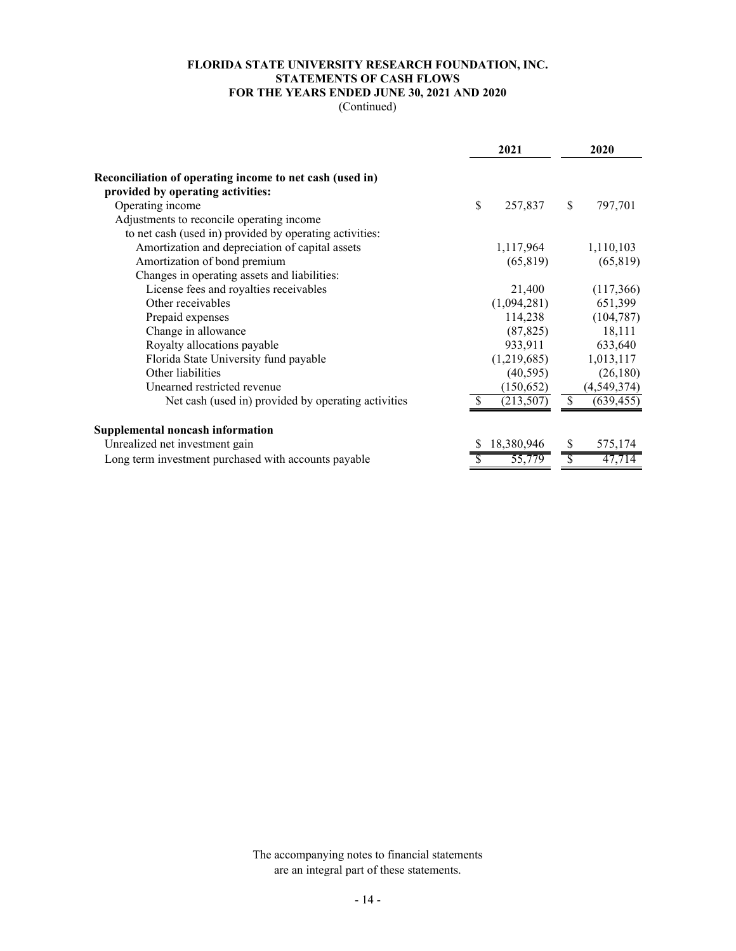#### **FLORIDA STATE UNIVERSITY RESEARCH FOUNDATION, INC. STATEMENTS OF CASH FLOWS FOR THE YEARS ENDED JUNE 30, 2021 AND 2020**

(Continued)

|                                                                                               |    | 2021        |               | 2020          |  |
|-----------------------------------------------------------------------------------------------|----|-------------|---------------|---------------|--|
| Reconciliation of operating income to net cash (used in)<br>provided by operating activities: |    |             |               |               |  |
| Operating income                                                                              | \$ | 257,837     | \$.           | 797,701       |  |
| Adjustments to reconcile operating income                                                     |    |             |               |               |  |
| to net cash (used in) provided by operating activities:                                       |    |             |               |               |  |
| Amortization and depreciation of capital assets                                               |    | 1,117,964   |               | 1,110,103     |  |
| Amortization of bond premium                                                                  |    | (65, 819)   |               | (65, 819)     |  |
| Changes in operating assets and liabilities:                                                  |    |             |               |               |  |
| License fees and royalties receivables                                                        |    | 21,400      |               | (117,366)     |  |
| Other receivables                                                                             |    | (1,094,281) |               | 651,399       |  |
| Prepaid expenses                                                                              |    | 114,238     |               | (104, 787)    |  |
| Change in allowance                                                                           |    | (87, 825)   |               | 18,111        |  |
| Royalty allocations payable                                                                   |    | 933,911     |               | 633,640       |  |
| Florida State University fund payable                                                         |    | (1,219,685) |               | 1,013,117     |  |
| Other liabilities                                                                             |    | (40, 595)   |               | (26,180)      |  |
| Unearned restricted revenue                                                                   |    | (150, 652)  |               | (4, 549, 374) |  |
| Net cash (used in) provided by operating activities                                           |    | (213, 507)  | <sup>\$</sup> | (639, 455)    |  |
| Supplemental noncash information                                                              |    |             |               |               |  |
| Unrealized net investment gain                                                                |    | 18,380,946  |               | 575,174       |  |
| Long term investment purchased with accounts payable                                          |    | 55,779      |               | 47,714        |  |

The accompanying notes to financial statements are an integral part of these statements.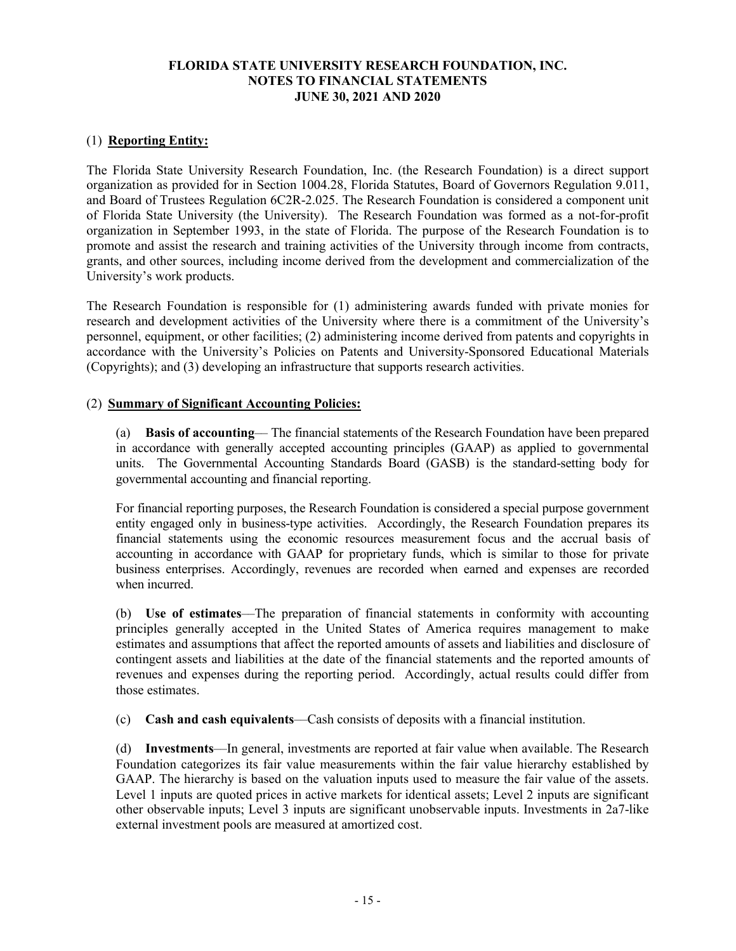## (1) **Reporting Entity:**

The Florida State University Research Foundation, Inc. (the Research Foundation) is a direct support organization as provided for in Section 1004.28, Florida Statutes, Board of Governors Regulation 9.011, and Board of Trustees Regulation 6C2R-2.025. The Research Foundation is considered a component unit of Florida State University (the University). The Research Foundation was formed as a not-for-profit organization in September 1993, in the state of Florida. The purpose of the Research Foundation is to promote and assist the research and training activities of the University through income from contracts, grants, and other sources, including income derived from the development and commercialization of the University's work products.

The Research Foundation is responsible for (1) administering awards funded with private monies for research and development activities of the University where there is a commitment of the University's personnel, equipment, or other facilities; (2) administering income derived from patents and copyrights in accordance with the University's Policies on Patents and University-Sponsored Educational Materials (Copyrights); and (3) developing an infrastructure that supports research activities.

## (2) **Summary of Significant Accounting Policies:**

(a) **Basis of accounting**–– The financial statements of the Research Foundation have been prepared in accordance with generally accepted accounting principles (GAAP) as applied to governmental units. The Governmental Accounting Standards Board (GASB) is the standard-setting body for governmental accounting and financial reporting.

For financial reporting purposes, the Research Foundation is considered a special purpose government entity engaged only in business-type activities. Accordingly, the Research Foundation prepares its financial statements using the economic resources measurement focus and the accrual basis of accounting in accordance with GAAP for proprietary funds, which is similar to those for private business enterprises. Accordingly, revenues are recorded when earned and expenses are recorded when incurred.

(b) **Use of estimates**––The preparation of financial statements in conformity with accounting principles generally accepted in the United States of America requires management to make estimates and assumptions that affect the reported amounts of assets and liabilities and disclosure of contingent assets and liabilities at the date of the financial statements and the reported amounts of revenues and expenses during the reporting period. Accordingly, actual results could differ from those estimates.

(c) **Cash and cash equivalents**––Cash consists of deposits with a financial institution.

(d) **Investments**––In general, investments are reported at fair value when available. The Research Foundation categorizes its fair value measurements within the fair value hierarchy established by GAAP. The hierarchy is based on the valuation inputs used to measure the fair value of the assets. Level 1 inputs are quoted prices in active markets for identical assets; Level 2 inputs are significant other observable inputs; Level 3 inputs are significant unobservable inputs. Investments in 2a7-like external investment pools are measured at amortized cost.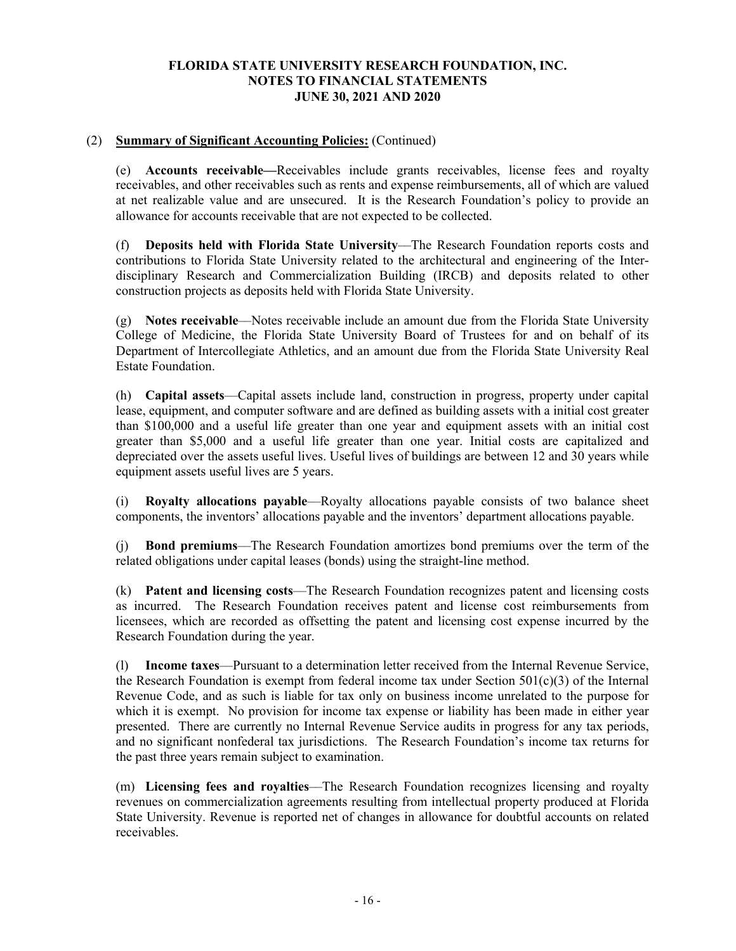## (2) **Summary of Significant Accounting Policies:** (Continued)

(e) **Accounts receivable––**Receivables include grants receivables, license fees and royalty receivables, and other receivables such as rents and expense reimbursements, all of which are valued at net realizable value and are unsecured. It is the Research Foundation's policy to provide an allowance for accounts receivable that are not expected to be collected.

(f) **Deposits held with Florida State University**––The Research Foundation reports costs and contributions to Florida State University related to the architectural and engineering of the Interdisciplinary Research and Commercialization Building (IRCB) and deposits related to other construction projects as deposits held with Florida State University.

(g) **Notes receivable**––Notes receivable include an amount due from the Florida State University College of Medicine, the Florida State University Board of Trustees for and on behalf of its Department of Intercollegiate Athletics, and an amount due from the Florida State University Real Estate Foundation.

(h) **Capital assets**––Capital assets include land, construction in progress, property under capital lease, equipment, and computer software and are defined as building assets with a initial cost greater than \$100,000 and a useful life greater than one year and equipment assets with an initial cost greater than \$5,000 and a useful life greater than one year. Initial costs are capitalized and depreciated over the assets useful lives. Useful lives of buildings are between 12 and 30 years while equipment assets useful lives are 5 years.

(i) **Royalty allocations payable**––Royalty allocations payable consists of two balance sheet components, the inventors' allocations payable and the inventors' department allocations payable.

(j) **Bond premiums**––The Research Foundation amortizes bond premiums over the term of the related obligations under capital leases (bonds) using the straight-line method.

(k) **Patent and licensing costs**––The Research Foundation recognizes patent and licensing costs as incurred. The Research Foundation receives patent and license cost reimbursements from licensees, which are recorded as offsetting the patent and licensing cost expense incurred by the Research Foundation during the year.

(l) **Income taxes**––Pursuant to a determination letter received from the Internal Revenue Service, the Research Foundation is exempt from federal income tax under Section  $501(c)(3)$  of the Internal Revenue Code, and as such is liable for tax only on business income unrelated to the purpose for which it is exempt. No provision for income tax expense or liability has been made in either year presented. There are currently no Internal Revenue Service audits in progress for any tax periods, and no significant nonfederal tax jurisdictions. The Research Foundation's income tax returns for the past three years remain subject to examination.

(m) **Licensing fees and royalties**––The Research Foundation recognizes licensing and royalty revenues on commercialization agreements resulting from intellectual property produced at Florida State University. Revenue is reported net of changes in allowance for doubtful accounts on related receivables.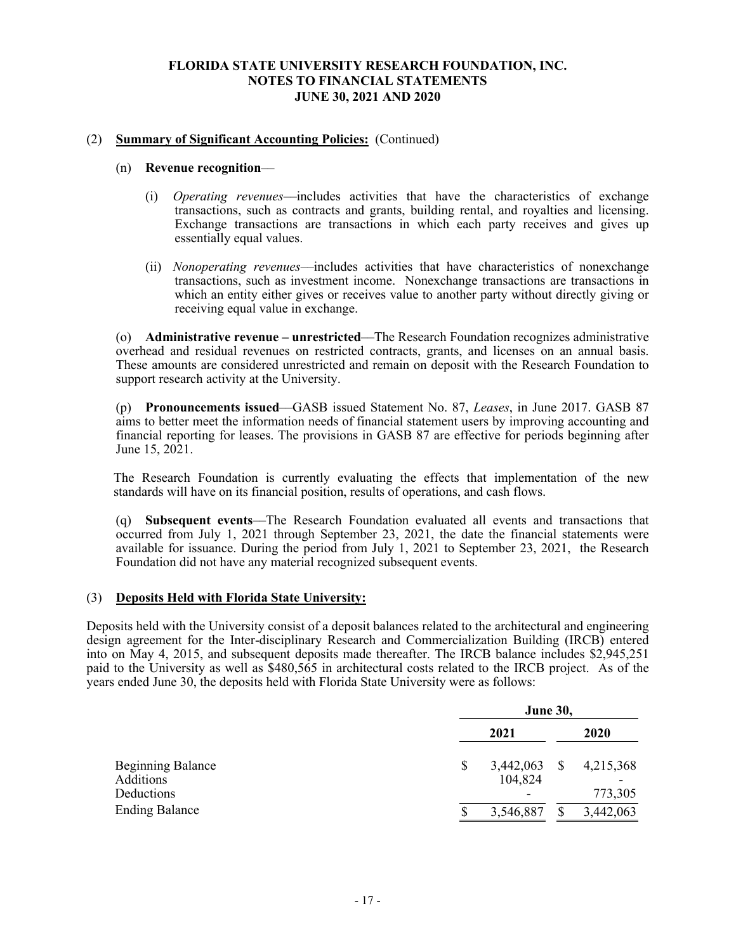#### (2) **Summary of Significant Accounting Policies:** (Continued)

#### (n) **Revenue recognition**––

- (i) *Operating revenues*––includes activities that have the characteristics of exchange transactions, such as contracts and grants, building rental, and royalties and licensing. Exchange transactions are transactions in which each party receives and gives up essentially equal values.
- (ii) *Nonoperating revenues*––includes activities that have characteristics of nonexchange transactions, such as investment income. Nonexchange transactions are transactions in which an entity either gives or receives value to another party without directly giving or receiving equal value in exchange.

(o) **Administrative revenue – unrestricted**––The Research Foundation recognizes administrative overhead and residual revenues on restricted contracts, grants, and licenses on an annual basis. These amounts are considered unrestricted and remain on deposit with the Research Foundation to support research activity at the University.

(p) **Pronouncements issued**––GASB issued Statement No. 87, *Leases*, in June 2017. GASB 87 aims to better meet the information needs of financial statement users by improving accounting and financial reporting for leases. The provisions in GASB 87 are effective for periods beginning after June 15, 2021.

The Research Foundation is currently evaluating the effects that implementation of the new standards will have on its financial position, results of operations, and cash flows.

(q) **Subsequent events**––The Research Foundation evaluated all events and transactions that occurred from July 1, 2021 through September 23, 2021, the date the financial statements were available for issuance. During the period from July 1, 2021 to September 23, 2021, the Research Foundation did not have any material recognized subsequent events.

### (3) **Deposits Held with Florida State University:**

Deposits held with the University consist of a deposit balances related to the architectural and engineering design agreement for the Inter-disciplinary Research and Commercialization Building (IRCB) entered into on May 4, 2015, and subsequent deposits made thereafter. The IRCB balance includes \$2,945,251 paid to the University as well as \$480,565 in architectural costs related to the IRCB project. As of the years ended June 30, the deposits held with Florida State University were as follows:

|                                       | <b>June 30,</b>            |      |                      |  |  |
|---------------------------------------|----------------------------|------|----------------------|--|--|
|                                       | 2021                       | 2020 |                      |  |  |
| <b>Beginning Balance</b><br>Additions | \$<br>3,442,063<br>104,824 | - S  | 4,215,368<br>773,305 |  |  |
| Deductions<br><b>Ending Balance</b>   | 3,546,887                  |      | 3,442,063            |  |  |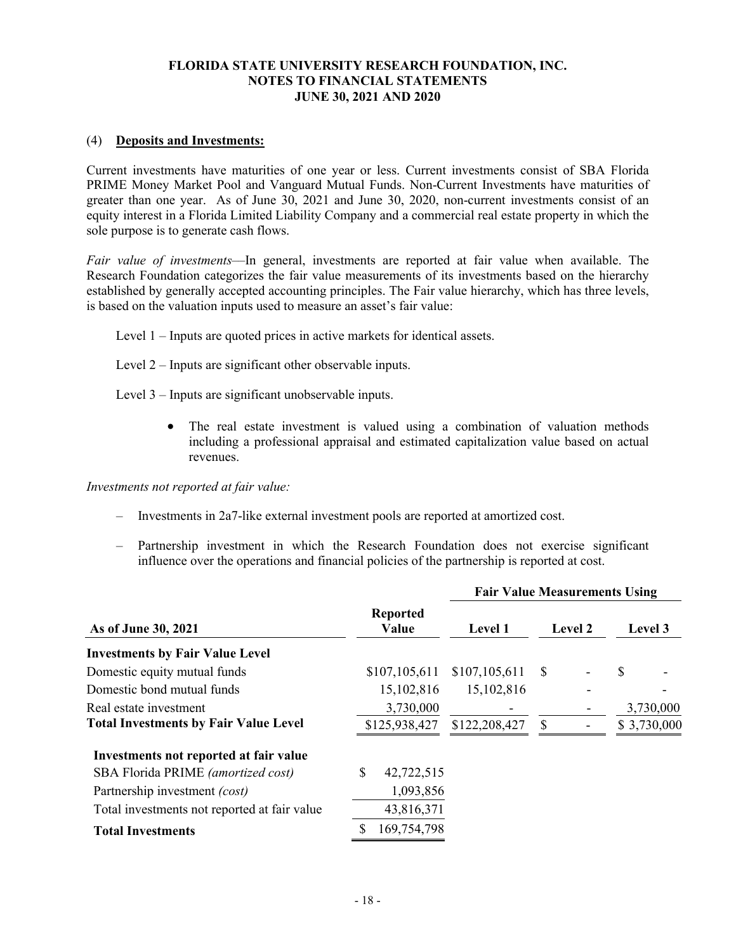### (4) **Deposits and Investments:**

Current investments have maturities of one year or less. Current investments consist of SBA Florida PRIME Money Market Pool and Vanguard Mutual Funds. Non-Current Investments have maturities of greater than one year. As of June 30, 2021 and June 30, 2020, non-current investments consist of an equity interest in a Florida Limited Liability Company and a commercial real estate property in which the sole purpose is to generate cash flows.

*Fair value of investments*––In general, investments are reported at fair value when available. The Research Foundation categorizes the fair value measurements of its investments based on the hierarchy established by generally accepted accounting principles. The Fair value hierarchy, which has three levels, is based on the valuation inputs used to measure an asset's fair value:

Level 1 – Inputs are quoted prices in active markets for identical assets.

Level 2 – Inputs are significant other observable inputs.

Level 3 – Inputs are significant unobservable inputs.

• The real estate investment is valued using a combination of valuation methods including a professional appraisal and estimated capitalization value based on actual revenues.

*Investments not reported at fair value:*

- Investments in 2a7-like external investment pools are reported at amortized cost.
- Partnership investment in which the Research Foundation does not exercise significant influence over the operations and financial policies of the partnership is reported at cost.

|                                              |                          |                | <b>Fair Value Measurements Using</b> |         |         |             |  |  |  |
|----------------------------------------------|--------------------------|----------------|--------------------------------------|---------|---------|-------------|--|--|--|
| As of June 30, 2021                          | <b>Reported</b><br>Value | <b>Level 1</b> |                                      | Level 2 | Level 3 |             |  |  |  |
| <b>Investments by Fair Value Level</b>       |                          |                |                                      |         |         |             |  |  |  |
| Domestic equity mutual funds                 | \$107,105,611            | \$107,105,611  | <sup>\$</sup>                        |         | S       |             |  |  |  |
| Domestic bond mutual funds                   | 15,102,816               | 15,102,816     |                                      |         |         |             |  |  |  |
| Real estate investment                       | 3,730,000                |                |                                      |         |         | 3,730,000   |  |  |  |
| <b>Total Investments by Fair Value Level</b> | \$125,938,427            | \$122,208,427  | S                                    |         |         | \$3,730,000 |  |  |  |
| Investments not reported at fair value       |                          |                |                                      |         |         |             |  |  |  |
| SBA Florida PRIME (amortized cost)           | S<br>42,722,515          |                |                                      |         |         |             |  |  |  |
| Partnership investment (cost)                | 1,093,856                |                |                                      |         |         |             |  |  |  |
| Total investments not reported at fair value | 43,816,371               |                |                                      |         |         |             |  |  |  |
| <b>Total Investments</b>                     | 169,754,798              |                |                                      |         |         |             |  |  |  |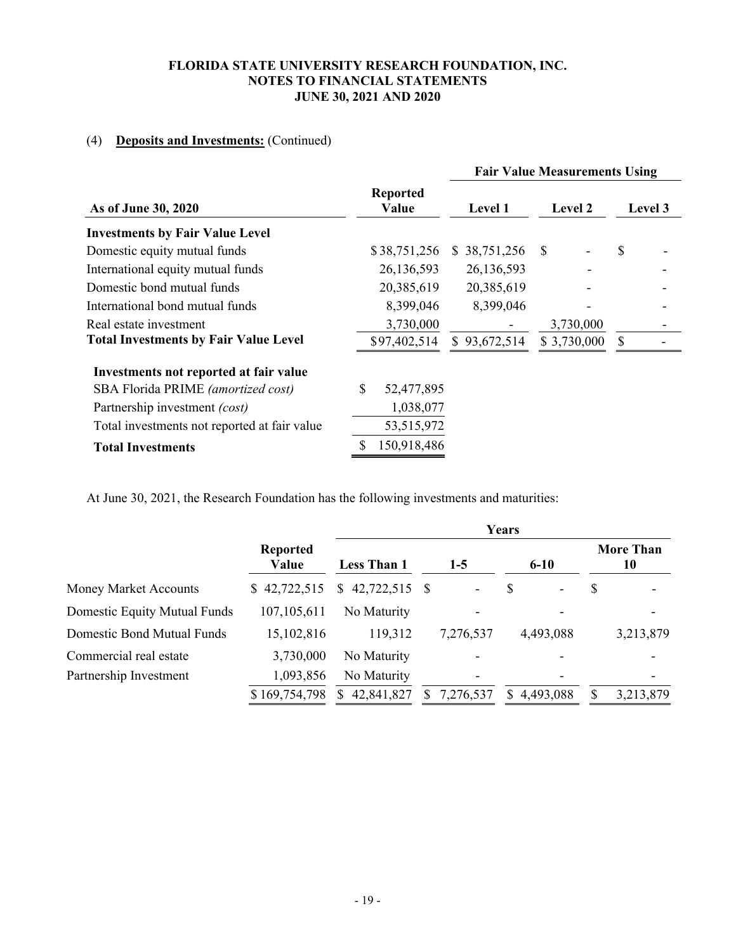# (4) **Deposits and Investments:** (Continued)

|                                              |    |                          | <b>Fair Value Measurements Using</b> |                |             |         |  |  |  |
|----------------------------------------------|----|--------------------------|--------------------------------------|----------------|-------------|---------|--|--|--|
| As of June 30, 2020                          |    | <b>Reported</b><br>Value | Level 1                              | <b>Level 2</b> |             | Level 3 |  |  |  |
| <b>Investments by Fair Value Level</b>       |    |                          |                                      |                |             |         |  |  |  |
| Domestic equity mutual funds                 |    | \$38,751,256             | \$38,751,256                         | <sup>\$</sup>  |             | \$      |  |  |  |
| International equity mutual funds            |    | 26,136,593               | 26,136,593                           |                |             |         |  |  |  |
| Domestic bond mutual funds                   |    | 20,385,619               | 20,385,619                           |                |             |         |  |  |  |
| International bond mutual funds              |    | 8,399,046                | 8,399,046                            |                |             |         |  |  |  |
| Real estate investment                       |    | 3,730,000                |                                      |                | 3,730,000   |         |  |  |  |
| <b>Total Investments by Fair Value Level</b> |    | \$97,402,514             | \$93,672,514                         |                | \$3,730,000 | \$      |  |  |  |
| Investments not reported at fair value       |    |                          |                                      |                |             |         |  |  |  |
| SBA Florida PRIME (amortized cost)           | \$ | 52,477,895               |                                      |                |             |         |  |  |  |
| Partnership investment (cost)                |    | 1,038,077                |                                      |                |             |         |  |  |  |
| Total investments not reported at fair value |    | 53,515,972               |                                      |                |             |         |  |  |  |
| <b>Total Investments</b>                     |    | 150,918,486              |                                      |                |             |         |  |  |  |

At June 30, 2021, the Research Foundation has the following investments and maturities:

|                              |               | Years              |       |                          |          |             |                        |           |  |  |  |
|------------------------------|---------------|--------------------|-------|--------------------------|----------|-------------|------------------------|-----------|--|--|--|
| <b>Reported</b><br>Value     |               | <b>Less Than 1</b> | $1-5$ |                          | $6 - 10$ |             | <b>More Than</b><br>10 |           |  |  |  |
| Money Market Accounts        | \$42,722,515  | \$42,722,515       | - S   | $\overline{\phantom{a}}$ | \$       |             | S                      |           |  |  |  |
| Domestic Equity Mutual Funds | 107, 105, 611 | No Maturity        |       |                          |          |             |                        | ۰         |  |  |  |
| Domestic Bond Mutual Funds   | 15, 102, 816  | 119,312            |       | 7,276,537                |          | 4,493,088   |                        | 3,213,879 |  |  |  |
| Commercial real estate       | 3,730,000     | No Maturity        |       |                          |          |             |                        | -         |  |  |  |
| Partnership Investment       | 1,093,856     | No Maturity        |       |                          |          |             |                        | -         |  |  |  |
|                              | \$169,754,798 | 42,841,827<br>S    | S     | 7,276,537                |          | \$4,493,088 |                        | 3,213,879 |  |  |  |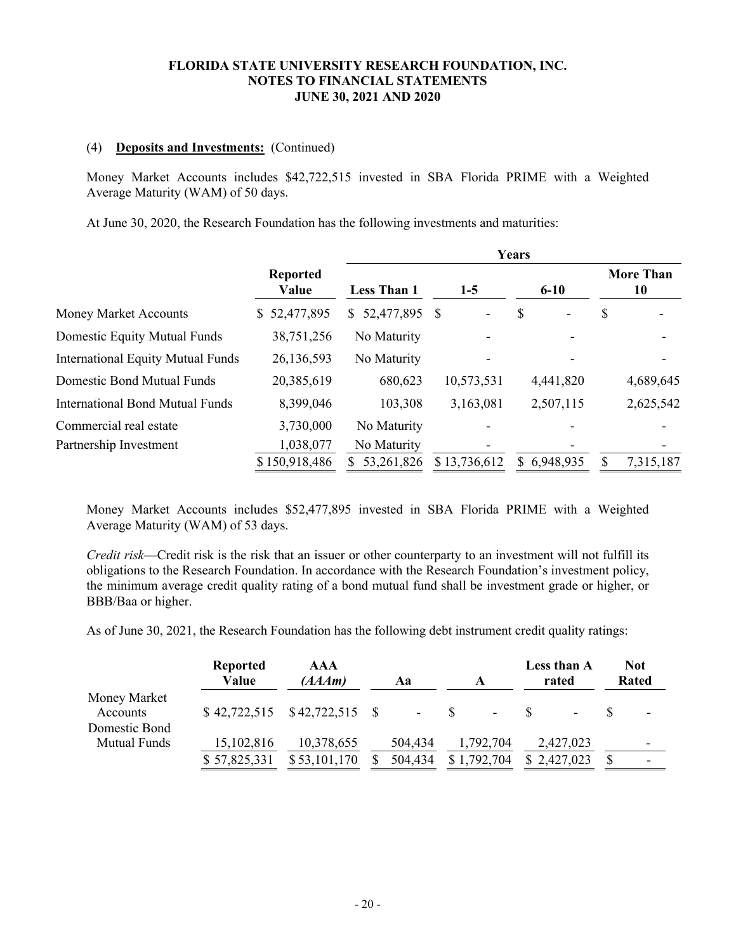#### (4) **Deposits and Investments:** (Continued)

Money Market Accounts includes \$42,722,515 invested in SBA Florida PRIME with a Weighted Average Maturity (WAM) of 50 days.

At June 30, 2020, the Research Foundation has the following investments and maturities:

|                                          |                          | Years                       |                                |                           |    |                        |  |  |  |  |
|------------------------------------------|--------------------------|-----------------------------|--------------------------------|---------------------------|----|------------------------|--|--|--|--|
|                                          | <b>Reported</b><br>Value | <b>Less Than 1</b><br>$1-5$ |                                | $6 - 10$                  |    | <b>More Than</b><br>10 |  |  |  |  |
| Money Market Accounts                    | \$52,477,895             | \$52,477,895                | -S<br>$\overline{\phantom{a}}$ | \$                        | \$ |                        |  |  |  |  |
| Domestic Equity Mutual Funds             | 38,751,256               | No Maturity                 |                                |                           |    |                        |  |  |  |  |
| <b>International Equity Mutual Funds</b> | 26,136,593               | No Maturity                 |                                |                           |    |                        |  |  |  |  |
| Domestic Bond Mutual Funds               | 20,385,619               | 680,623                     | 10,573,531                     | 4,441,820                 |    | 4,689,645              |  |  |  |  |
| <b>International Bond Mutual Funds</b>   | 8,399,046                | 103,308                     | 3,163,081                      | 2,507,115                 |    | 2,625,542              |  |  |  |  |
| Commercial real estate                   | 3,730,000                | No Maturity                 |                                |                           |    |                        |  |  |  |  |
| Partnership Investment                   | 1,038,077                | No Maturity                 |                                |                           |    |                        |  |  |  |  |
|                                          | \$150,918,486            | 53, 261, 826<br>S           | \$13,736,612                   | <sup>S</sup><br>6,948,935 | S  | 7,315,187              |  |  |  |  |

Money Market Accounts includes \$52,477,895 invested in SBA Florida PRIME with a Weighted Average Maturity (WAM) of 53 days.

*Credit risk*––Credit risk is the risk that an issuer or other counterparty to an investment will not fulfill its obligations to the Research Foundation. In accordance with the Research Foundation's investment policy, the minimum average credit quality rating of a bond mutual fund shall be investment grade or higher, or BBB/Baa or higher.

As of June 30, 2021, the Research Foundation has the following debt instrument credit quality ratings:

|                          | <b>Reported</b><br>Value | AAA<br>(AAAm)                   | Aa      | A                        | Less than A<br>rated | <b>Not</b><br><b>Rated</b>   |
|--------------------------|--------------------------|---------------------------------|---------|--------------------------|----------------------|------------------------------|
| Money Market<br>Accounts |                          | $$42,722,515$ $$42,722,515$ $$$ | $\sim$  | $\overline{\phantom{a}}$ |                      | $\qquad \qquad \blacksquare$ |
| Domestic Bond            |                          |                                 |         |                          |                      |                              |
| Mutual Funds             | 15, 102, 816             | 10,378,655                      | 504,434 | 1,792,704                | 2,427,023            | $\overline{\phantom{a}}$     |
|                          | \$57,825,331             | \$53,101,170                    | 504,434 | \$1,792,704              | \$2,427,023          | $\qquad \qquad \blacksquare$ |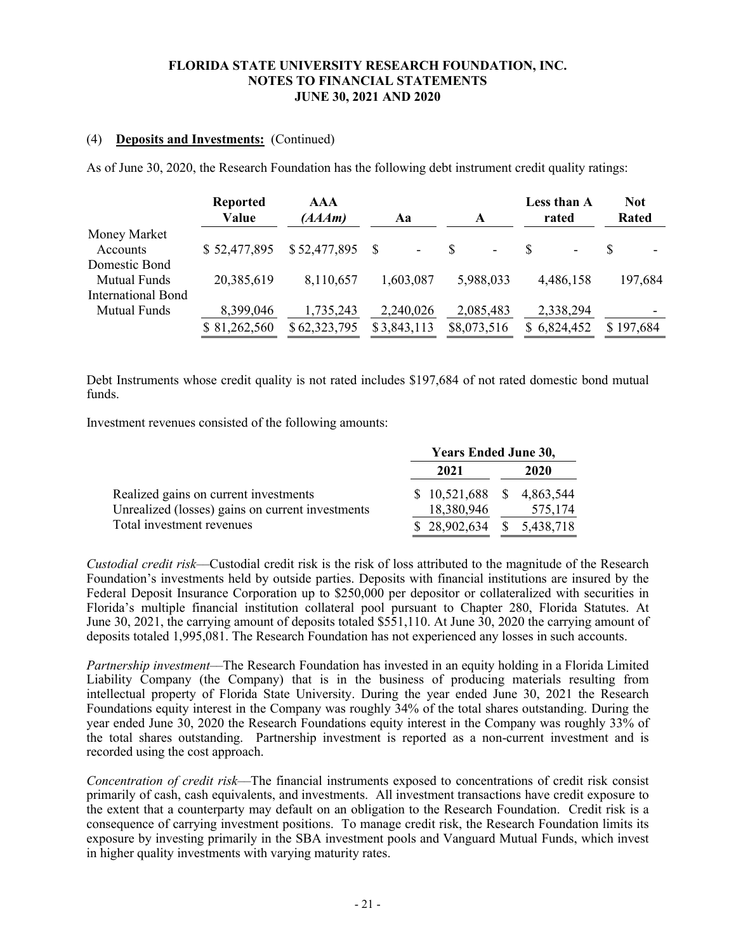## (4) **Deposits and Investments:** (Continued)

As of June 30, 2020, the Research Foundation has the following debt instrument credit quality ratings:

|                           | <b>Reported</b><br>Value | <b>AAA</b><br>(AAAm) | Aa                               | A              | Less than A<br>rated | <b>Not</b><br>Rated |
|---------------------------|--------------------------|----------------------|----------------------------------|----------------|----------------------|---------------------|
| Money Market              |                          |                      |                                  |                |                      |                     |
| Accounts                  | \$52,477,895             | \$52,477,895         | - \$<br>$\overline{\phantom{a}}$ | $\blacksquare$ | -                    | S                   |
| Domestic Bond             |                          |                      |                                  |                |                      |                     |
| <b>Mutual Funds</b>       | 20,385,619               | 8,110,657            | 1,603,087                        | 5,988,033      | 4,486,158            | 197,684             |
| <b>International Bond</b> |                          |                      |                                  |                |                      |                     |
| <b>Mutual Funds</b>       | 8,399,046                | 1,735,243            | 2,240,026                        | 2,085,483      | 2,338,294            | ۰                   |
|                           | \$81,262,560             | \$62,323,795         | \$3,843,113                      | \$8,073,516    | \$6,824,452          | \$197,684           |

Debt Instruments whose credit quality is not rated includes \$197,684 of not rated domestic bond mutual funds.

Investment revenues consisted of the following amounts:

|                                                  | <b>Years Ended June 30,</b> |  |         |  |
|--------------------------------------------------|-----------------------------|--|---------|--|
|                                                  | 2021                        |  | 2020    |  |
| Realized gains on current investments            | $$10,521,688$ $$4,863,544$  |  |         |  |
| Unrealized (losses) gains on current investments | 18,380,946                  |  | 575,174 |  |
| Total investment revenues                        | $$28,902,634$ $$5,438,718$  |  |         |  |

*Custodial credit risk*––Custodial credit risk is the risk of loss attributed to the magnitude of the Research Foundation's investments held by outside parties. Deposits with financial institutions are insured by the Federal Deposit Insurance Corporation up to \$250,000 per depositor or collateralized with securities in Florida's multiple financial institution collateral pool pursuant to Chapter 280, Florida Statutes. At June 30, 2021, the carrying amount of deposits totaled \$551,110. At June 30, 2020 the carrying amount of deposits totaled 1,995,081. The Research Foundation has not experienced any losses in such accounts.

*Partnership investment*––The Research Foundation has invested in an equity holding in a Florida Limited Liability Company (the Company) that is in the business of producing materials resulting from intellectual property of Florida State University. During the year ended June 30, 2021 the Research Foundations equity interest in the Company was roughly 34% of the total shares outstanding. During the year ended June 30, 2020 the Research Foundations equity interest in the Company was roughly 33% of the total shares outstanding. Partnership investment is reported as a non-current investment and is recorded using the cost approach.

*Concentration of credit risk––*The financial instruments exposed to concentrations of credit risk consist primarily of cash, cash equivalents, and investments. All investment transactions have credit exposure to the extent that a counterparty may default on an obligation to the Research Foundation. Credit risk is a consequence of carrying investment positions. To manage credit risk, the Research Foundation limits its exposure by investing primarily in the SBA investment pools and Vanguard Mutual Funds, which invest in higher quality investments with varying maturity rates.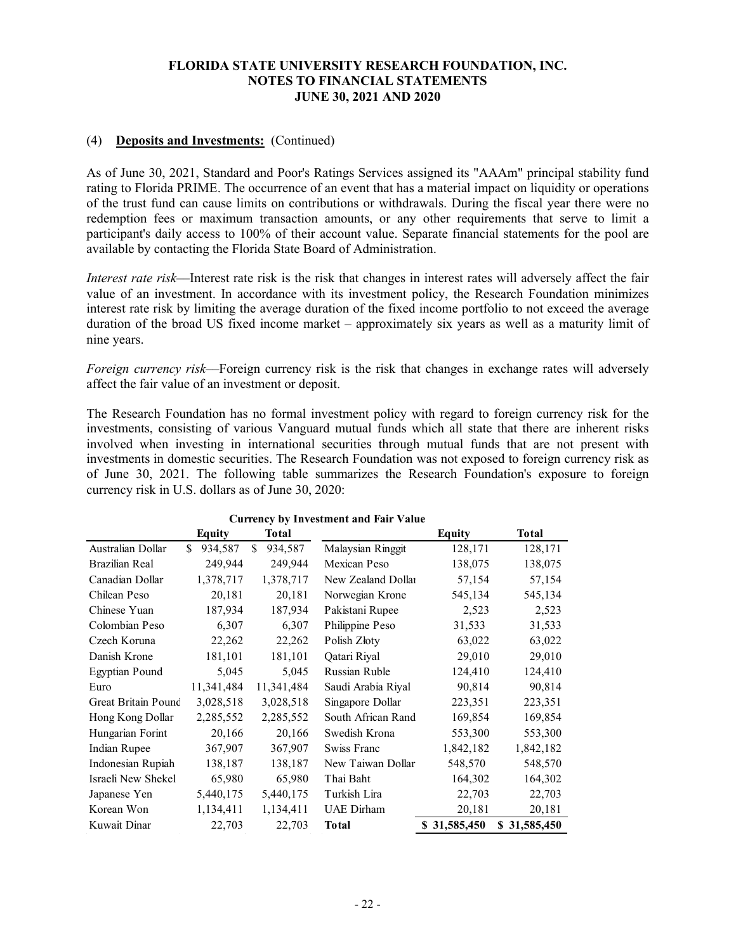## (4) **Deposits and Investments:** (Continued)

As of June 30, 2021, Standard and Poor's Ratings Services assigned its "AAAm" principal stability fund rating to Florida PRIME. The occurrence of an event that has a material impact on liquidity or operations of the trust fund can cause limits on contributions or withdrawals. During the fiscal year there were no redemption fees or maximum transaction amounts, or any other requirements that serve to limit a participant's daily access to 100% of their account value. Separate financial statements for the pool are available by contacting the Florida State Board of Administration.

*Interest rate risk*––Interest rate risk is the risk that changes in interest rates will adversely affect the fair value of an investment. In accordance with its investment policy, the Research Foundation minimizes interest rate risk by limiting the average duration of the fixed income portfolio to not exceed the average duration of the broad US fixed income market – approximately six years as well as a maturity limit of nine years.

*Foreign currency risk*—Foreign currency risk is the risk that changes in exchange rates will adversely affect the fair value of an investment or deposit.

The Research Foundation has no formal investment policy with regard to foreign currency risk for the investments, consisting of various Vanguard mutual funds which all state that there are inherent risks involved when investing in international securities through mutual funds that are not present with investments in domestic securities. The Research Foundation was not exposed to foreign currency risk as of June 30, 2021. The following table summarizes the Research Foundation's exposure to foreign currency risk in U.S. dollars as of June 30, 2020:

|                       |               |               | Currency by Investment and Pair Value |              |              |
|-----------------------|---------------|---------------|---------------------------------------|--------------|--------------|
|                       | <b>Equity</b> | <b>Total</b>  |                                       | Equity       | <b>Total</b> |
| Australian Dollar     | \$<br>934,587 | \$<br>934,587 | Malaysian Ringgit                     | 128,171      | 128,171      |
| Brazilian Real        | 249,944       | 249,944       | Mexican Peso                          | 138,075      | 138,075      |
| Canadian Dollar       | 1,378,717     | 1,378,717     | New Zealand Dollar                    | 57,154       | 57,154       |
| Chilean Peso          | 20,181        | 20,181        | Norwegian Krone                       | 545,134      | 545,134      |
| Chinese Yuan          | 187,934       | 187,934       | Pakistani Rupee                       | 2,523        | 2,523        |
| Colombian Peso        | 6,307         | 6,307         | Philippine Peso                       | 31,533       | 31,533       |
| Czech Koruna          | 22,262        | 22,262        | Polish Złoty                          | 63,022       | 63,022       |
| Danish Krone          | 181,101       | 181,101       | Qatari Riyal                          | 29,010       | 29,010       |
| <b>Egyptian Pound</b> | 5,045         | 5,045         | Russian Ruble                         | 124,410      | 124,410      |
| Euro                  | 11,341,484    | 11,341,484    | Saudi Arabia Riyal                    | 90,814       | 90,814       |
| Great Britain Pound   | 3,028,518     | 3,028,518     | Singapore Dollar                      | 223,351      | 223,351      |
| Hong Kong Dollar      | 2,285,552     | 2,285,552     | South African Rand                    | 169,854      | 169,854      |
| Hungarian Forint      | 20,166        | 20,166        | Swedish Krona                         | 553,300      | 553,300      |
| Indian Rupee          | 367,907       | 367,907       | Swiss Franc                           | 1,842,182    | 1,842,182    |
| Indonesian Rupiah     | 138,187       | 138,187       | New Taiwan Dollar                     | 548,570      | 548,570      |
| Israeli New Shekel    | 65,980        | 65,980        | Thai Baht                             | 164,302      | 164,302      |
| Japanese Yen          | 5,440,175     | 5,440,175     | Turkish Lira                          | 22,703       | 22,703       |
| Korean Won            | 1,134,411     | 1,134,411     | UAE Dirham                            | 20,181       | 20,181       |
| Kuwait Dinar          | 22,703        | 22,703        | Total                                 | \$31,585,450 | \$31,585,450 |

**Currency by Investment and Fair Value**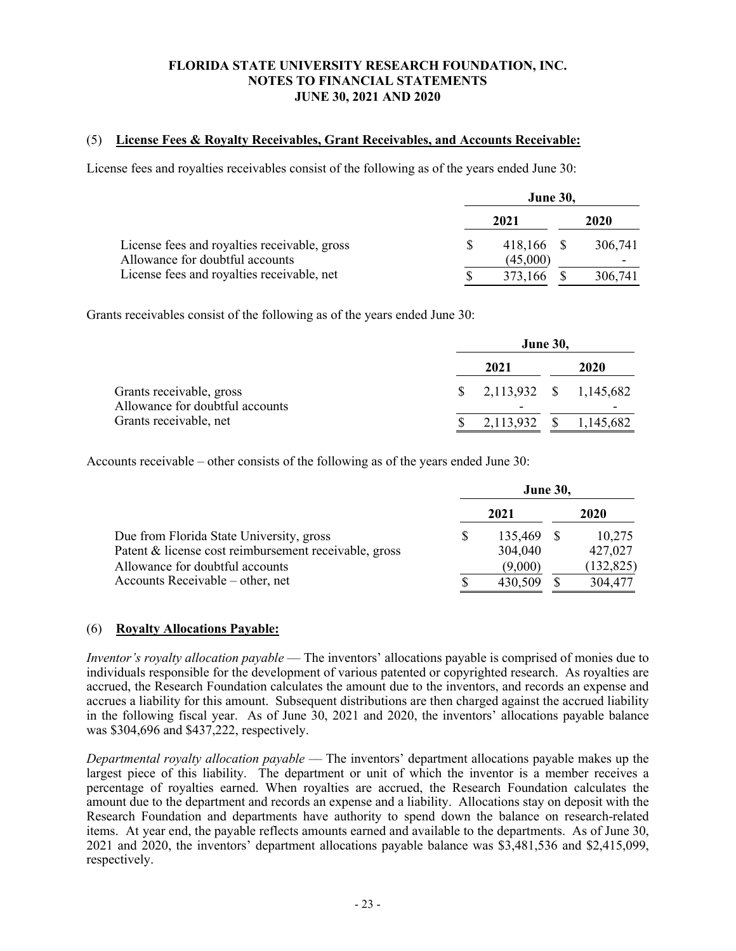## (5) **License Fees & Royalty Receivables, Grant Receivables, and Accounts Receivable:**

License fees and royalties receivables consist of the following as of the years ended June 30:

|                                              |      | <b>June 30,</b> |  |         |
|----------------------------------------------|------|-----------------|--|---------|
|                                              | 2021 |                 |  | 2020    |
| License fees and royalties receivable, gross |      | 418,166 \$      |  | 306.741 |
| Allowance for doubtful accounts              |      | (45,000)        |  | -       |
| License fees and royalties receivable, net   |      | 373,166 \$      |  | 306,741 |

Grants receivables consist of the following as of the years ended June 30:

|                                                             | <b>June 30,</b> |                                              |  |      |
|-------------------------------------------------------------|-----------------|----------------------------------------------|--|------|
|                                                             |                 | 2021                                         |  | 2020 |
| Grants receivable, gross<br>Allowance for doubtful accounts |                 | $\frac{1}{2}$ , 2, 113, 932 \, 5 1, 145, 682 |  |      |
| Grants receivable, net                                      |                 | 2,113,932 \$ 1,145,682                       |  |      |

Accounts receivable – other consists of the following as of the years ended June 30:

|                                                       |              | <b>June 30,</b> |            |
|-------------------------------------------------------|--------------|-----------------|------------|
|                                                       | 2021         |                 | 2020       |
| Due from Florida State University, gross              | <sup>S</sup> | 135,469         | 10,275     |
| Patent & license cost reimbursement receivable, gross |              | 304,040         | 427,027    |
| Allowance for doubtful accounts                       |              | (9,000)         | (132, 825) |
| Accounts Receivable $-$ other, net                    |              | 430,509         | 304,477    |

### (6) **Royalty Allocations Payable:**

*Inventor's royalty allocation payable* — The inventors' allocations payable is comprised of monies due to individuals responsible for the development of various patented or copyrighted research. As royalties are accrued, the Research Foundation calculates the amount due to the inventors, and records an expense and accrues a liability for this amount. Subsequent distributions are then charged against the accrued liability in the following fiscal year. As of June 30, 2021 and 2020, the inventors' allocations payable balance was \$304,696 and \$437,222, respectively.

*Departmental royalty allocation payable ––* The inventors' department allocations payable makes up the largest piece of this liability. The department or unit of which the inventor is a member receives a percentage of royalties earned. When royalties are accrued, the Research Foundation calculates the amount due to the department and records an expense and a liability. Allocations stay on deposit with the Research Foundation and departments have authority to spend down the balance on research-related items. At year end, the payable reflects amounts earned and available to the departments. As of June 30, 2021 and 2020, the inventors' department allocations payable balance was \$3,481,536 and \$2,415,099, respectively.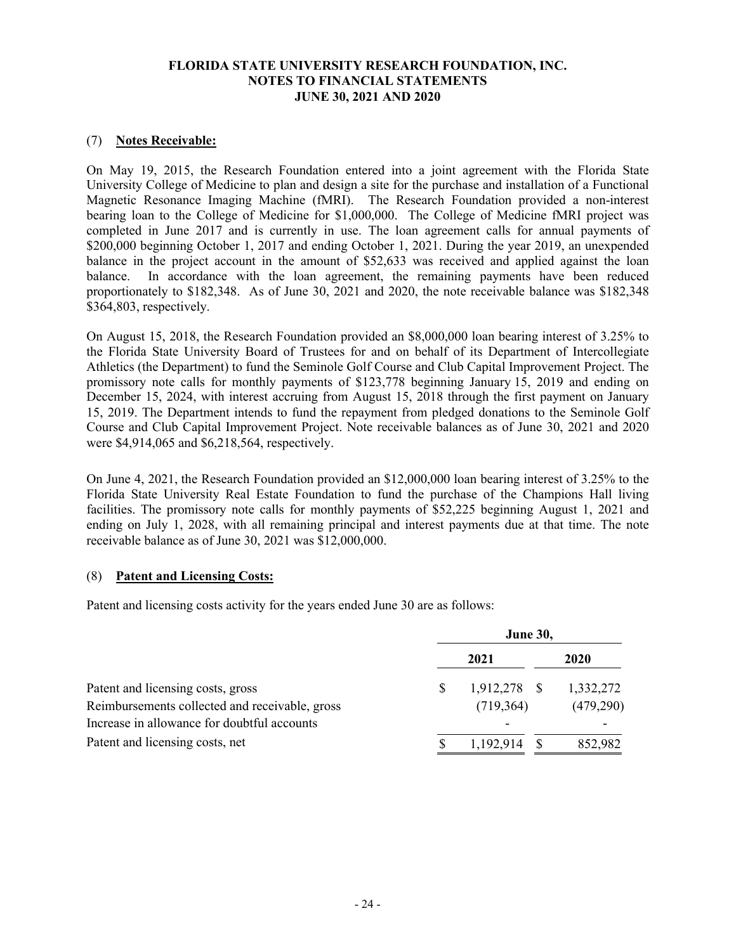## (7) **Notes Receivable:**

On May 19, 2015, the Research Foundation entered into a joint agreement with the Florida State University College of Medicine to plan and design a site for the purchase and installation of a Functional Magnetic Resonance Imaging Machine (fMRI). The Research Foundation provided a non-interest bearing loan to the College of Medicine for \$1,000,000. The College of Medicine fMRI project was completed in June 2017 and is currently in use. The loan agreement calls for annual payments of \$200,000 beginning October 1, 2017 and ending October 1, 2021. During the year 2019, an unexpended balance in the project account in the amount of \$52,633 was received and applied against the loan balance. In accordance with the loan agreement, the remaining payments have been reduced proportionately to \$182,348. As of June 30, 2021 and 2020, the note receivable balance was \$182,348 \$364,803, respectively.

On August 15, 2018, the Research Foundation provided an \$8,000,000 loan bearing interest of 3.25% to the Florida State University Board of Trustees for and on behalf of its Department of Intercollegiate Athletics (the Department) to fund the Seminole Golf Course and Club Capital Improvement Project. The promissory note calls for monthly payments of \$123,778 beginning January 15, 2019 and ending on December 15, 2024, with interest accruing from August 15, 2018 through the first payment on January 15, 2019. The Department intends to fund the repayment from pledged donations to the Seminole Golf Course and Club Capital Improvement Project. Note receivable balances as of June 30, 2021 and 2020 were \$4,914,065 and \$6,218,564, respectively.

On June 4, 2021, the Research Foundation provided an \$12,000,000 loan bearing interest of 3.25% to the Florida State University Real Estate Foundation to fund the purchase of the Champions Hall living facilities. The promissory note calls for monthly payments of \$52,225 beginning August 1, 2021 and ending on July 1, 2028, with all remaining principal and interest payments due at that time. The note receivable balance as of June 30, 2021 was \$12,000,000.

### (8) **Patent and Licensing Costs:**

Patent and licensing costs activity for the years ended June 30 are as follows:

|                                                | <b>June 30,</b> |            |  |           |  |  |
|------------------------------------------------|-----------------|------------|--|-----------|--|--|
|                                                | 2021            |            |  | 2020      |  |  |
| Patent and licensing costs, gross              | S               | 1,912,278  |  | 1,332,272 |  |  |
| Reimbursements collected and receivable, gross |                 | (719, 364) |  | (479,290) |  |  |
| Increase in allowance for doubtful accounts    |                 |            |  |           |  |  |
| Patent and licensing costs, net                |                 | 1,192,914  |  | 852,982   |  |  |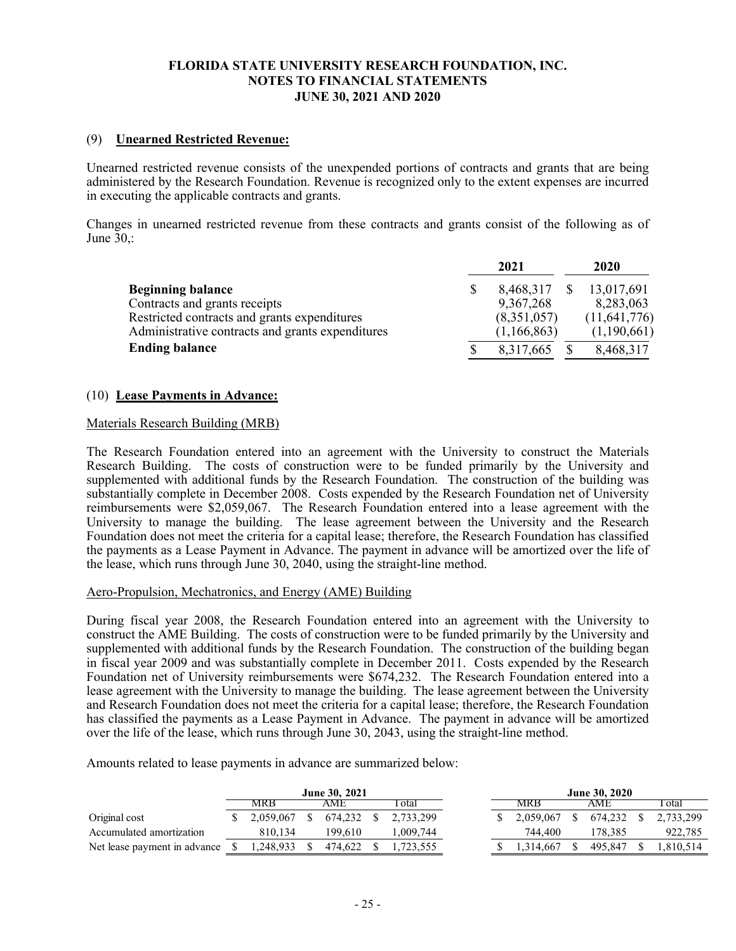#### (9) **Unearned Restricted Revenue:**

Unearned restricted revenue consists of the unexpended portions of contracts and grants that are being administered by the Research Foundation. Revenue is recognized only to the extent expenses are incurred in executing the applicable contracts and grants.

Changes in unearned restricted revenue from these contracts and grants consist of the following as of June 30,:

|                                                  | 2021        | 2020         |
|--------------------------------------------------|-------------|--------------|
| <b>Beginning balance</b>                         | 8,468,317   | 13,017,691   |
| Contracts and grants receipts                    | 9,367,268   | 8,283,063    |
| Restricted contracts and grants expenditures     | (8,351,057) | (11,641,776) |
| Administrative contracts and grants expenditures | (1,166,863) | (1,190,661)  |
| <b>Ending balance</b>                            | 8,317,665   | 8,468,317    |

### (10) **Lease Payments in Advance:**

#### Materials Research Building (MRB)

The Research Foundation entered into an agreement with the University to construct the Materials Research Building. The costs of construction were to be funded primarily by the University and supplemented with additional funds by the Research Foundation. The construction of the building was substantially complete in December 2008. Costs expended by the Research Foundation net of University reimbursements were \$2,059,067. The Research Foundation entered into a lease agreement with the University to manage the building. The lease agreement between the University and the Research Foundation does not meet the criteria for a capital lease; therefore, the Research Foundation has classified the payments as a Lease Payment in Advance. The payment in advance will be amortized over the life of the lease, which runs through June 30, 2040, using the straight-line method.

#### Aero-Propulsion, Mechatronics, and Energy (AME) Building

During fiscal year 2008, the Research Foundation entered into an agreement with the University to construct the AME Building. The costs of construction were to be funded primarily by the University and supplemented with additional funds by the Research Foundation. The construction of the building began in fiscal year 2009 and was substantially complete in December 2011. Costs expended by the Research Foundation net of University reimbursements were \$674,232. The Research Foundation entered into a lease agreement with the University to manage the building. The lease agreement between the University and Research Foundation does not meet the criteria for a capital lease; therefore, the Research Foundation has classified the payments as a Lease Payment in Advance. The payment in advance will be amortized over the life of the lease, which runs through June 30, 2043, using the straight-line method.

Amounts related to lease payments in advance are summarized below:

|                                 | <b>June 30, 2021</b> |                                                         |  |         |  |           |  | <b>June 30, 2020</b> |         |           |
|---------------------------------|----------------------|---------------------------------------------------------|--|---------|--|-----------|--|----------------------|---------|-----------|
|                                 |                      | MRB                                                     |  | AME.    |  | l otal    |  | MRB                  | AME     | Fotal     |
| Original cost                   |                      | $\frac{1}{2}$ , 2,059,067 \, \$ 674,232 \, \$ 2,733,299 |  |         |  |           |  | \$2.059,067          | 674.232 | 2.733.299 |
| Accumulated amortization        |                      | 810.134                                                 |  | 199.610 |  | .009.744  |  | 744.400              | 178.385 | 922,785   |
| Net lease payment in advance \$ |                      | 1,248,933                                               |  | 474,622 |  | 1.723.555 |  | 1.314.667            | 495.847 | 1.810.514 |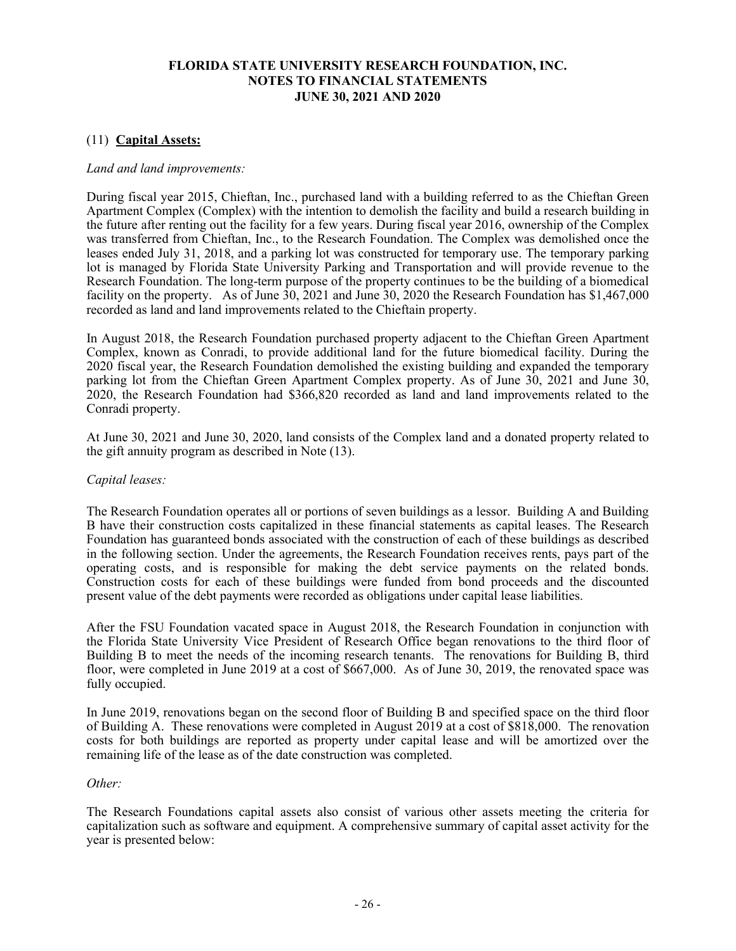## (11) **Capital Assets:**

#### *Land and land improvements:*

During fiscal year 2015, Chieftan, Inc., purchased land with a building referred to as the Chieftan Green Apartment Complex (Complex) with the intention to demolish the facility and build a research building in the future after renting out the facility for a few years. During fiscal year 2016, ownership of the Complex was transferred from Chieftan, Inc., to the Research Foundation. The Complex was demolished once the leases ended July 31, 2018, and a parking lot was constructed for temporary use. The temporary parking lot is managed by Florida State University Parking and Transportation and will provide revenue to the Research Foundation. The long-term purpose of the property continues to be the building of a biomedical facility on the property. As of June 30, 2021 and June 30, 2020 the Research Foundation has \$1,467,000 recorded as land and land improvements related to the Chieftain property.

In August 2018, the Research Foundation purchased property adjacent to the Chieftan Green Apartment Complex, known as Conradi, to provide additional land for the future biomedical facility. During the 2020 fiscal year, the Research Foundation demolished the existing building and expanded the temporary parking lot from the Chieftan Green Apartment Complex property. As of June 30, 2021 and June 30, 2020, the Research Foundation had \$366,820 recorded as land and land improvements related to the Conradi property.

At June 30, 2021 and June 30, 2020, land consists of the Complex land and a donated property related to the gift annuity program as described in Note (13).

#### *Capital leases:*

The Research Foundation operates all or portions of seven buildings as a lessor. Building A and Building B have their construction costs capitalized in these financial statements as capital leases. The Research Foundation has guaranteed bonds associated with the construction of each of these buildings as described in the following section. Under the agreements, the Research Foundation receives rents, pays part of the operating costs, and is responsible for making the debt service payments on the related bonds. Construction costs for each of these buildings were funded from bond proceeds and the discounted present value of the debt payments were recorded as obligations under capital lease liabilities.

After the FSU Foundation vacated space in August 2018, the Research Foundation in conjunction with the Florida State University Vice President of Research Office began renovations to the third floor of Building B to meet the needs of the incoming research tenants. The renovations for Building B, third floor, were completed in June 2019 at a cost of \$667,000. As of June 30, 2019, the renovated space was fully occupied.

In June 2019, renovations began on the second floor of Building B and specified space on the third floor of Building A. These renovations were completed in August 2019 at a cost of \$818,000. The renovation costs for both buildings are reported as property under capital lease and will be amortized over the remaining life of the lease as of the date construction was completed.

#### *Other:*

The Research Foundations capital assets also consist of various other assets meeting the criteria for capitalization such as software and equipment. A comprehensive summary of capital asset activity for the year is presented below: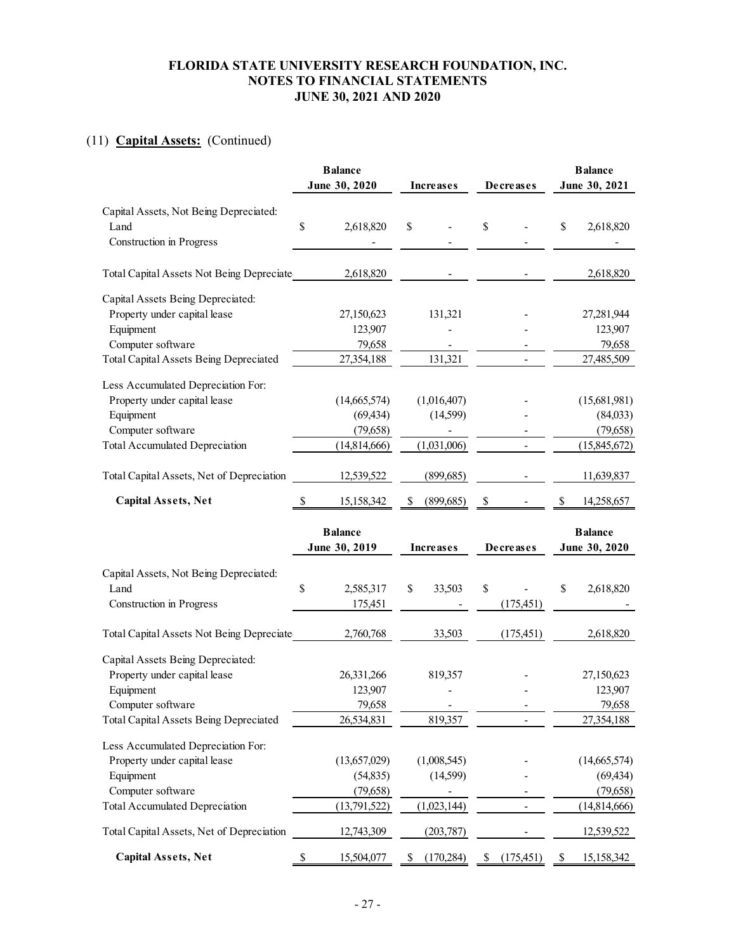# (11) **Capital Assets:** (Continued)

|                                                  | <b>Balance</b><br>June 30, 2020 |    | Increases   |      | Decreases  | <b>Balance</b><br>June 30, 2021 |                |  |
|--------------------------------------------------|---------------------------------|----|-------------|------|------------|---------------------------------|----------------|--|
|                                                  |                                 |    |             |      |            |                                 |                |  |
| Capital Assets, Not Being Depreciated:<br>Land   | \$<br>2,618,820                 | \$ |             | \$   |            | \$                              | 2,618,820      |  |
| <b>Construction</b> in Progress                  |                                 |    |             |      |            |                                 |                |  |
|                                                  |                                 |    |             |      |            |                                 |                |  |
| <b>Total Capital Assets Not Being Depreciate</b> | 2,618,820                       |    |             |      |            |                                 | 2,618,820      |  |
| Capital Assets Being Depreciated:                |                                 |    |             |      |            |                                 |                |  |
| Property under capital lease                     | 27,150,623                      |    | 131,321     |      |            |                                 | 27,281,944     |  |
| Equipment                                        | 123,907                         |    |             |      |            |                                 | 123,907        |  |
| Computer software                                | 79,658                          |    |             |      |            |                                 | 79,658         |  |
| <b>Total Capital Assets Being Depreciated</b>    | 27,354,188                      |    | 131,321     |      |            |                                 | 27,485,509     |  |
| Less Accumulated Depreciation For:               |                                 |    |             |      |            |                                 |                |  |
| Property under capital lease                     | (14,665,574)                    |    | (1,016,407) |      |            |                                 | (15,681,981)   |  |
| Equipment                                        | (69, 434)                       |    | (14, 599)   |      |            |                                 | (84,033)       |  |
| Computer software                                | (79, 658)                       |    |             |      |            |                                 | (79, 658)      |  |
| <b>Total Accumulated Depreciation</b>            | (14,814,666)                    |    | (1,031,006) |      |            |                                 | (15, 845, 672) |  |
| Total Capital Assets, Net of Depreciation        | 12,539,522                      |    | (899, 685)  |      |            |                                 | 11,639,837     |  |
| <b>Capital Assets, Net</b>                       | \$<br>15,158,342                | S  | (899, 685)  | $\$$ |            | S                               | 14,258,657     |  |
|                                                  |                                 |    |             |      |            |                                 |                |  |
|                                                  | <b>Balance</b>                  |    |             |      |            |                                 | <b>Balance</b> |  |
|                                                  | June 30, 2019                   |    | Increases   |      | Decreases  |                                 | June 30, 2020  |  |
|                                                  |                                 |    |             |      |            |                                 |                |  |
| Capital Assets, Not Being Depreciated:           |                                 |    |             |      |            |                                 |                |  |
| Land                                             | \$<br>2,585,317                 | \$ | 33,503      | \$   |            | S                               | 2,618,820      |  |
| <b>Construction</b> in Progress                  | 175,451                         |    |             |      | (175, 451) |                                 |                |  |
| <b>Total Capital Assets Not Being Depreciate</b> | 2,760,768                       |    | 33,503      |      | (175, 451) |                                 | 2,618,820      |  |
|                                                  |                                 |    |             |      |            |                                 |                |  |
| Capital Assets Being Depreciated:                |                                 |    |             |      |            |                                 |                |  |
| Property under capital lease                     | 26,331,266                      |    | 819,357     |      |            |                                 | 27,150,623     |  |
| Equipment                                        | 123,907                         |    |             |      |            |                                 | 123,907        |  |
| Computer software                                | 79,658                          |    |             |      |            |                                 | 79,658         |  |
| <b>Total Capital Assets Being Depreciated</b>    | 26,534,831                      |    | 819,357     |      |            |                                 | 27,354,188     |  |
| Less Accumulated Depreciation For:               |                                 |    |             |      |            |                                 |                |  |
| Property under capital lease                     | (13,657,029)                    |    | (1,008,545) |      |            |                                 | (14, 665, 574) |  |
| Equipment                                        | (54, 835)                       |    | (14,599)    |      |            |                                 | (69, 434)      |  |
| Computer software                                | (79,658)                        |    |             |      |            |                                 | (79, 658)      |  |
| <b>Total Accumulated Depreciation</b>            | (13,791,522)                    |    | (1,023,144) |      |            |                                 | (14,814,666)   |  |
| Total Capital Assets, Net of Depreciation        | 12,743,309                      |    | (203, 787)  |      |            |                                 | 12,539,522     |  |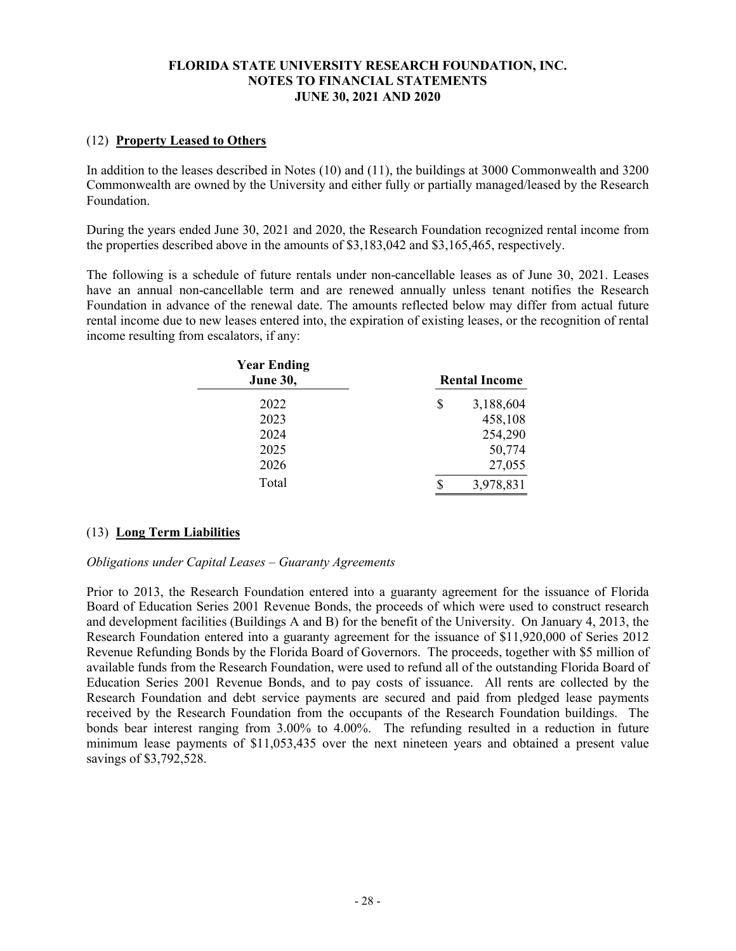## (12) **Property Leased to Others**

In addition to the leases described in Notes (10) and (11), the buildings at 3000 Commonwealth and 3200 Commonwealth are owned by the University and either fully or partially managed/leased by the Research Foundation.

During the years ended June 30, 2021 and 2020, the Research Foundation recognized rental income from the properties described above in the amounts of \$3,183,042 and \$3,165,465, respectively.

The following is a schedule of future rentals under non-cancellable leases as of June 30, 2021. Leases have an annual non-cancellable term and are renewed annually unless tenant notifies the Research Foundation in advance of the renewal date. The amounts reflected below may differ from actual future rental income due to new leases entered into, the expiration of existing leases, or the recognition of rental income resulting from escalators, if any:

| <b>Year Ending</b><br><b>June 30,</b> | <b>Rental Income</b> |  |  |  |
|---------------------------------------|----------------------|--|--|--|
| 2022                                  | \$<br>3,188,604      |  |  |  |
| 2023                                  | 458,108              |  |  |  |
| 2024                                  | 254,290              |  |  |  |
| 2025                                  | 50,774               |  |  |  |
| 2026                                  | 27,055               |  |  |  |
| Total                                 | \$<br>3,978,831      |  |  |  |

## (13) **Long Term Liabilities**

*Obligations under Capital Leases – Guaranty Agreements*

Prior to 2013, the Research Foundation entered into a guaranty agreement for the issuance of Florida Board of Education Series 2001 Revenue Bonds, the proceeds of which were used to construct research and development facilities (Buildings A and B) for the benefit of the University. On January 4, 2013, the Research Foundation entered into a guaranty agreement for the issuance of \$11,920,000 of Series 2012 Revenue Refunding Bonds by the Florida Board of Governors. The proceeds, together with \$5 million of available funds from the Research Foundation, were used to refund all of the outstanding Florida Board of Education Series 2001 Revenue Bonds, and to pay costs of issuance. All rents are collected by the Research Foundation and debt service payments are secured and paid from pledged lease payments received by the Research Foundation from the occupants of the Research Foundation buildings. The bonds bear interest ranging from 3.00% to 4.00%. The refunding resulted in a reduction in future minimum lease payments of \$11,053,435 over the next nineteen years and obtained a present value savings of \$3,792,528.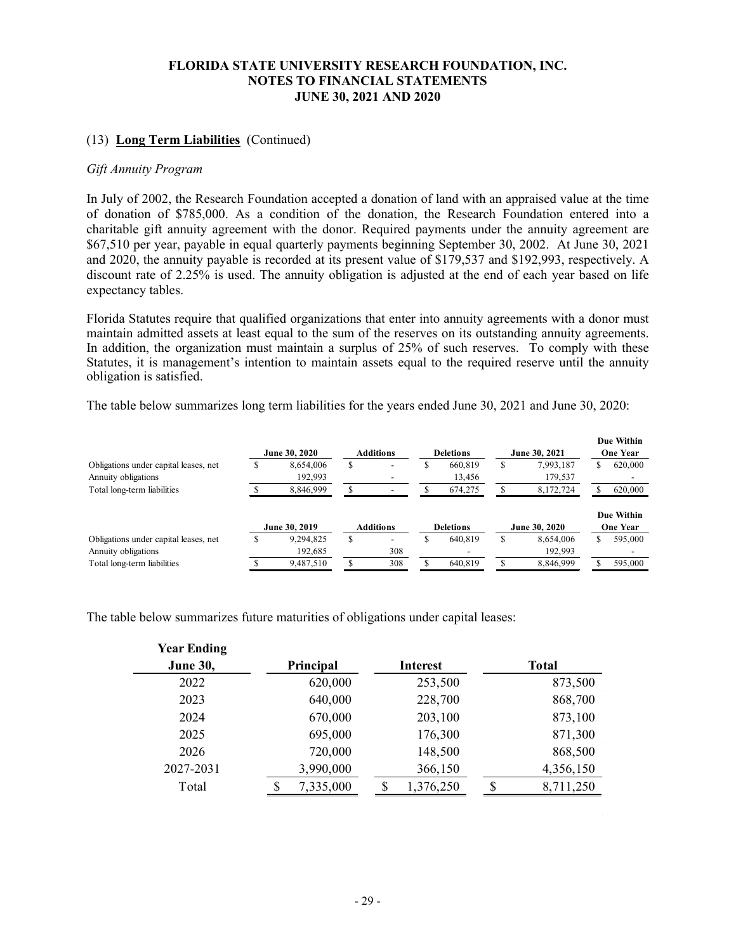## (13) **Long Term Liabilities** (Continued)

#### *Gift Annuity Program*

In July of 2002, the Research Foundation accepted a donation of land with an appraised value at the time of donation of \$785,000. As a condition of the donation, the Research Foundation entered into a charitable gift annuity agreement with the donor. Required payments under the annuity agreement are \$67,510 per year, payable in equal quarterly payments beginning September 30, 2002. At June 30, 2021 and 2020, the annuity payable is recorded at its present value of \$179,537 and \$192,993, respectively. A discount rate of 2.25% is used. The annuity obligation is adjusted at the end of each year based on life expectancy tables.

Florida Statutes require that qualified organizations that enter into annuity agreements with a donor must maintain admitted assets at least equal to the sum of the reserves on its outstanding annuity agreements. In addition, the organization must maintain a surplus of 25% of such reserves. To comply with these Statutes, it is management's intention to maintain assets equal to the required reserve until the annuity obligation is satisfied.

The table below summarizes long term liabilities for the years ended June 30, 2021 and June 30, 2020:

|                                                    |   | June 30, 2020        |   | <b>Additions</b> |   | <b>Deletions</b>  |   | June 30, 2021        |    | Due Within<br><b>One Year</b>        |
|----------------------------------------------------|---|----------------------|---|------------------|---|-------------------|---|----------------------|----|--------------------------------------|
| Obligations under capital leases, net              | Φ | 8,654,006            | S | -                |   | 660,819           | ъ | 7,993,187            | D  | 620,000                              |
| Annuity obligations<br>Total long-term liabilities |   | 192,993<br>8,846,999 |   | -                |   | 13,456<br>674,275 |   | 179,537<br>8,172,724 |    | 620,000                              |
|                                                    |   | June 30, 2019        |   | <b>Additions</b> |   | <b>Deletions</b>  |   | June 30, 2020        |    | <b>Due Within</b><br><b>One Year</b> |
| Obligations under capital leases, net              | J | 9,294,825            | S | -                | Æ | 640,819           | S | 8,654,006            | \$ | 595,000                              |
| Annuity obligations                                |   | 192,685              |   | 308              |   |                   |   | 192,993              |    |                                      |
| Total long-term liabilities                        |   | 9,487,510            |   | 308              |   | 640,819           |   | 8,846,999            |    | 595,000                              |

The table below summarizes future maturities of obligations under capital leases:

| <b>Year Ending</b> |           |           |              |
|--------------------|-----------|-----------|--------------|
| <b>June 30,</b>    | Principal | Interest  | <b>Total</b> |
| 2022               | 620,000   | 253,500   | 873,500      |
| 2023               | 640,000   | 228,700   | 868,700      |
| 2024               | 670,000   | 203,100   | 873,100      |
| 2025               | 695,000   | 176,300   | 871,300      |
| 2026               | 720,000   | 148,500   | 868,500      |
| 2027-2031          | 3,990,000 | 366,150   | 4,356,150    |
| Total              | 7,335,000 | 1,376,250 | 8,711,250    |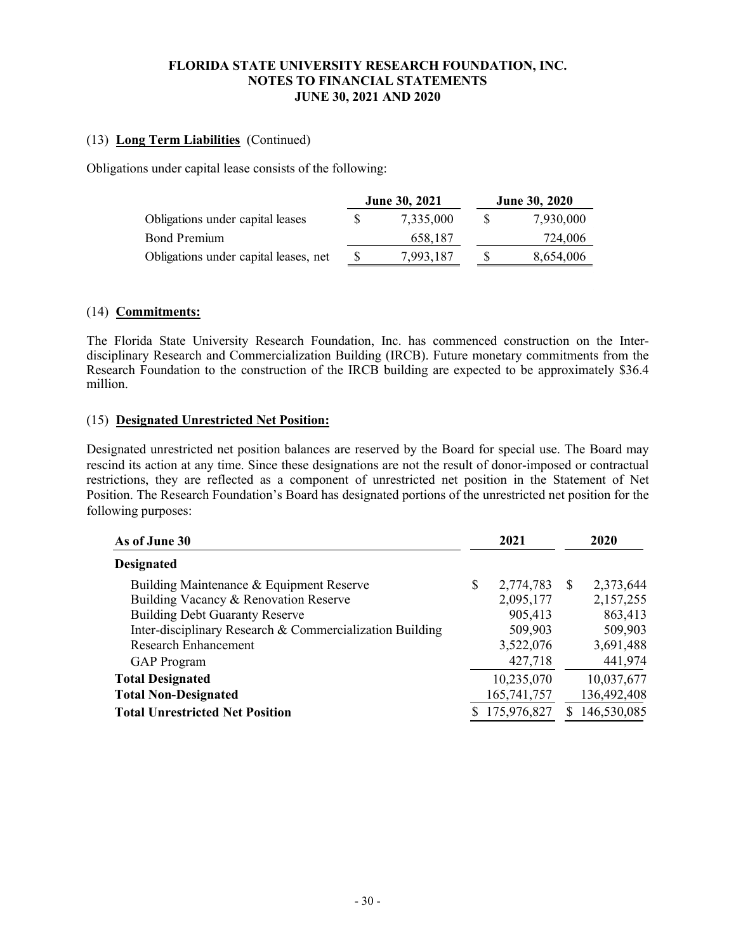## (13) **Long Term Liabilities** (Continued)

Obligations under capital lease consists of the following:

|                                       | <b>June 30, 2021</b> | <b>June 30, 2020</b> |           |  |  |
|---------------------------------------|----------------------|----------------------|-----------|--|--|
| Obligations under capital leases      | 7.335,000            |                      | 7,930,000 |  |  |
| Bond Premium                          | 658.187              |                      | 724,006   |  |  |
| Obligations under capital leases, net | 7,993,187            |                      | 8,654,006 |  |  |

### (14) **Commitments:**

The Florida State University Research Foundation, Inc. has commenced construction on the Interdisciplinary Research and Commercialization Building (IRCB). Future monetary commitments from the Research Foundation to the construction of the IRCB building are expected to be approximately \$36.4 million.

### (15) **Designated Unrestricted Net Position:**

Designated unrestricted net position balances are reserved by the Board for special use. The Board may rescind its action at any time. Since these designations are not the result of donor-imposed or contractual restrictions, they are reflected as a component of unrestricted net position in the Statement of Net Position. The Research Foundation's Board has designated portions of the unrestricted net position for the following purposes:

| As of June 30                                            |   | 2021        |    | 2020        |
|----------------------------------------------------------|---|-------------|----|-------------|
| <b>Designated</b>                                        |   |             |    |             |
| Building Maintenance & Equipment Reserve                 | S | 2,774,783   | -S | 2,373,644   |
| Building Vacancy & Renovation Reserve                    |   | 2,095,177   |    | 2,157,255   |
| <b>Building Debt Guaranty Reserve</b>                    |   | 905,413     |    | 863,413     |
| Inter-disciplinary Research & Commercialization Building |   | 509,903     |    | 509,903     |
| <b>Research Enhancement</b>                              |   | 3,522,076   |    | 3,691,488   |
| <b>GAP</b> Program                                       |   | 427,718     |    | 441,974     |
| <b>Total Designated</b>                                  |   | 10,235,070  |    | 10,037,677  |
| <b>Total Non-Designated</b>                              |   | 165,741,757 |    | 136,492,408 |
| <b>Total Unrestricted Net Position</b>                   |   | 175,976,827 |    | 146,530,085 |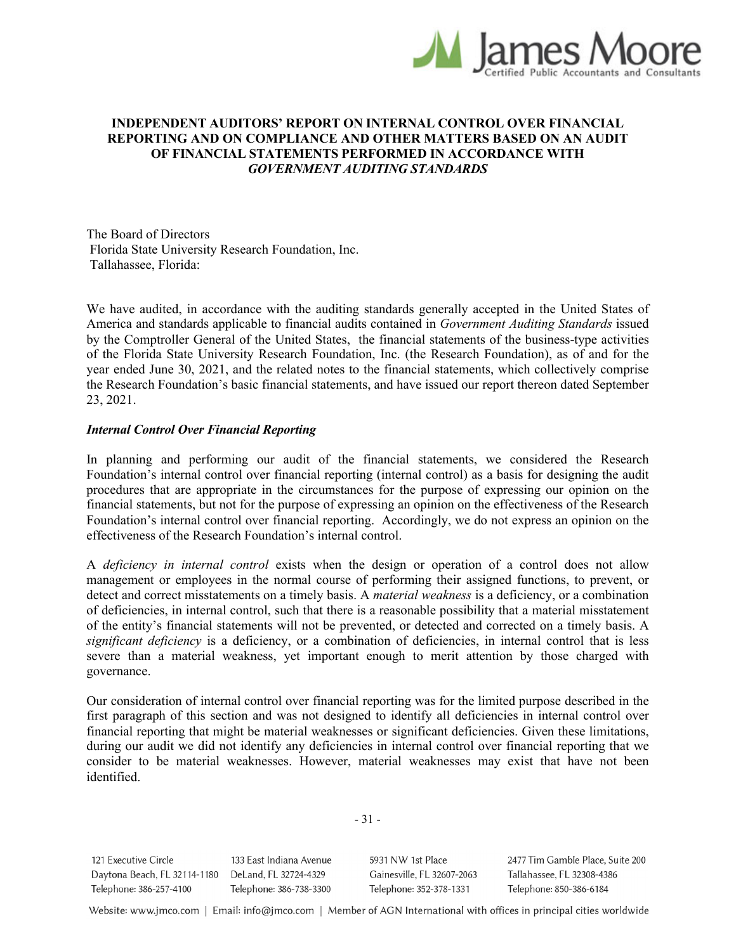

### **INDEPENDENT AUDITORS' REPORT ON INTERNAL CONTROL OVER FINANCIAL REPORTING AND ON COMPLIANCE AND OTHER MATTERS BASED ON AN AUDIT OF FINANCIAL STATEMENTS PERFORMED IN ACCORDANCE WITH** *GOVERNMENT AUDITING STANDARDS*

The Board of Directors Florida State University Research Foundation, Inc. Tallahassee, Florida:

We have audited, in accordance with the auditing standards generally accepted in the United States of America and standards applicable to financial audits contained in *Government Auditing Standards* issued by the Comptroller General of the United States, the financial statements of the business-type activities of the Florida State University Research Foundation, Inc. (the Research Foundation), as of and for the year ended June 30, 2021, and the related notes to the financial statements, which collectively comprise the Research Foundation's basic financial statements, and have issued our report thereon dated September 23, 2021.

#### *Internal Control Over Financial Reporting*

In planning and performing our audit of the financial statements, we considered the Research Foundation's internal control over financial reporting (internal control) as a basis for designing the audit procedures that are appropriate in the circumstances for the purpose of expressing our opinion on the financial statements, but not for the purpose of expressing an opinion on the effectiveness of the Research Foundation's internal control over financial reporting. Accordingly, we do not express an opinion on the effectiveness of the Research Foundation's internal control.

A *deficiency in internal control* exists when the design or operation of a control does not allow management or employees in the normal course of performing their assigned functions, to prevent, or detect and correct misstatements on a timely basis. A *material weakness* is a deficiency, or a combination of deficiencies, in internal control, such that there is a reasonable possibility that a material misstatement of the entity's financial statements will not be prevented, or detected and corrected on a timely basis. A *significant deficiency* is a deficiency, or a combination of deficiencies, in internal control that is less severe than a material weakness, yet important enough to merit attention by those charged with governance.

Our consideration of internal control over financial reporting was for the limited purpose described in the first paragraph of this section and was not designed to identify all deficiencies in internal control over financial reporting that might be material weaknesses or significant deficiencies. Given these limitations, during our audit we did not identify any deficiencies in internal control over financial reporting that we consider to be material weaknesses. However, material weaknesses may exist that have not been identified.

121 Executive Circle 133 East Indiana Avenue Daytona Beach, FL 32114-1180 DeLand, FL 32724-4329 Telephone: 386-257-4100 Telephone: 386-738-3300

5931 NW 1st Place Gainesville, FL 32607-2063 Telephone: 352-378-1331

2477 Tim Gamble Place, Suite 200 Tallahassee, FL 32308-4386 Telephone: 850-386-6184

Website: www.jmco.com | Email: info@jmco.com | Member of AGN International with offices in principal cities worldwide